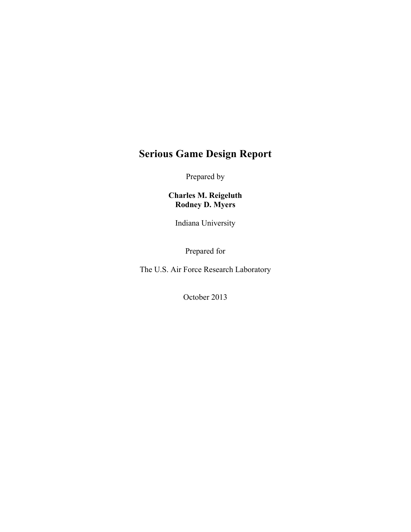# **Serious Game Design Report**

Prepared by

**Charles M. Reigeluth Rodney D. Myers**

Indiana University

Prepared for

The U.S. Air Force Research Laboratory

October 2013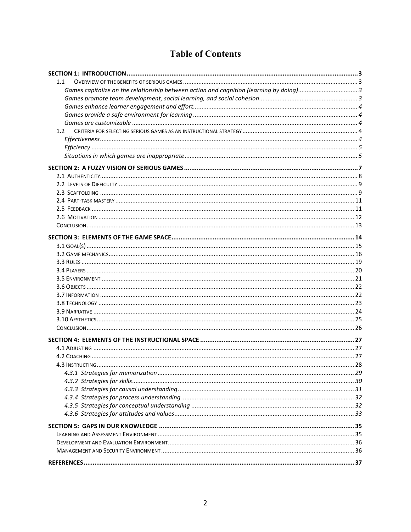## **Table of Contents**

| 1.1 |  |
|-----|--|
|     |  |
|     |  |
|     |  |
|     |  |
|     |  |
| 1.2 |  |
|     |  |
|     |  |
|     |  |
|     |  |
|     |  |
|     |  |
|     |  |
|     |  |
|     |  |
|     |  |
|     |  |
|     |  |
|     |  |
|     |  |
|     |  |
|     |  |
|     |  |
|     |  |
|     |  |
|     |  |
|     |  |
|     |  |
|     |  |
|     |  |
|     |  |
|     |  |
|     |  |
|     |  |
|     |  |
|     |  |
|     |  |
|     |  |
|     |  |
|     |  |
|     |  |
|     |  |
|     |  |
|     |  |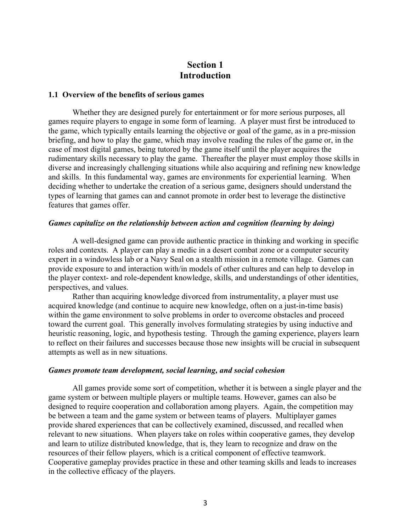## **Section 1 Introduction**

#### **1.1 Overview of the benefits of serious games**

Whether they are designed purely for entertainment or for more serious purposes, all games require players to engage in some form of learning. A player must first be introduced to the game, which typically entails learning the objective or goal of the game, as in a pre-mission briefing, and how to play the game, which may involve reading the rules of the game or, in the case of most digital games, being tutored by the game itself until the player acquires the rudimentary skills necessary to play the game. Thereafter the player must employ those skills in diverse and increasingly challenging situations while also acquiring and refining new knowledge and skills. In this fundamental way, games are environments for experiential learning. When deciding whether to undertake the creation of a serious game, designers should understand the types of learning that games can and cannot promote in order best to leverage the distinctive features that games offer.

#### *Games capitalize on the relationship between action and cognition (learning by doing)*

A well-designed game can provide authentic practice in thinking and working in specific roles and contexts. A player can play a medic in a desert combat zone or a computer security expert in a windowless lab or a Navy Seal on a stealth mission in a remote village. Games can provide exposure to and interaction with/in models of other cultures and can help to develop in the player context- and role-dependent knowledge, skills, and understandings of other identities, perspectives, and values.

Rather than acquiring knowledge divorced from instrumentality, a player must use acquired knowledge (and continue to acquire new knowledge, often on a just-in-time basis) within the game environment to solve problems in order to overcome obstacles and proceed toward the current goal. This generally involves formulating strategies by using inductive and heuristic reasoning, logic, and hypothesis testing. Through the gaming experience, players learn to reflect on their failures and successes because those new insights will be crucial in subsequent attempts as well as in new situations.

#### *Games promote team development, social learning, and social cohesion*

All games provide some sort of competition, whether it is between a single player and the game system or between multiple players or multiple teams. However, games can also be designed to require cooperation and collaboration among players. Again, the competition may be between a team and the game system or between teams of players. Multiplayer games provide shared experiences that can be collectively examined, discussed, and recalled when relevant to new situations. When players take on roles within cooperative games, they develop and learn to utilize distributed knowledge, that is, they learn to recognize and draw on the resources of their fellow players, which is a critical component of effective teamwork. Cooperative gameplay provides practice in these and other teaming skills and leads to increases in the collective efficacy of the players.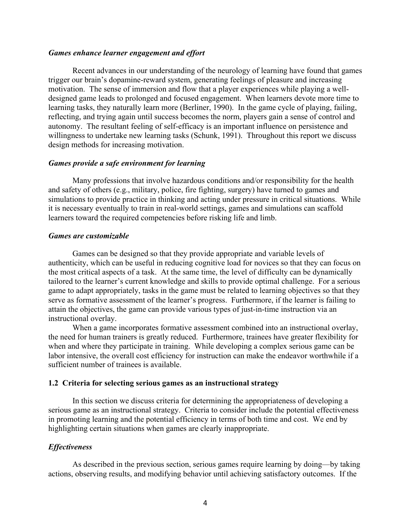#### *Games enhance learner engagement and effort*

Recent advances in our understanding of the neurology of learning have found that games trigger our brain's dopamine-reward system, generating feelings of pleasure and increasing motivation. The sense of immersion and flow that a player experiences while playing a welldesigned game leads to prolonged and focused engagement. When learners devote more time to learning tasks, they naturally learn more (Berliner, 1990). In the game cycle of playing, failing, reflecting, and trying again until success becomes the norm, players gain a sense of control and autonomy. The resultant feeling of self-efficacy is an important influence on persistence and willingness to undertake new learning tasks (Schunk, 1991). Throughout this report we discuss design methods for increasing motivation.

#### *Games provide a safe environment for learning*

Many professions that involve hazardous conditions and/or responsibility for the health and safety of others (e.g., military, police, fire fighting, surgery) have turned to games and simulations to provide practice in thinking and acting under pressure in critical situations. While it is necessary eventually to train in real-world settings, games and simulations can scaffold learners toward the required competencies before risking life and limb.

#### *Games are customizable*

Games can be designed so that they provide appropriate and variable levels of authenticity, which can be useful in reducing cognitive load for novices so that they can focus on the most critical aspects of a task. At the same time, the level of difficulty can be dynamically tailored to the learner's current knowledge and skills to provide optimal challenge. For a serious game to adapt appropriately, tasks in the game must be related to learning objectives so that they serve as formative assessment of the learner's progress. Furthermore, if the learner is failing to attain the objectives, the game can provide various types of just-in-time instruction via an instructional overlay.

When a game incorporates formative assessment combined into an instructional overlay, the need for human trainers is greatly reduced. Furthermore, trainees have greater flexibility for when and where they participate in training. While developing a complex serious game can be labor intensive, the overall cost efficiency for instruction can make the endeavor worthwhile if a sufficient number of trainees is available.

#### **1.2 Criteria for selecting serious games as an instructional strategy**

In this section we discuss criteria for determining the appropriateness of developing a serious game as an instructional strategy. Criteria to consider include the potential effectiveness in promoting learning and the potential efficiency in terms of both time and cost. We end by highlighting certain situations when games are clearly inappropriate.

#### *Effectiveness*

As described in the previous section, serious games require learning by doing—by taking actions, observing results, and modifying behavior until achieving satisfactory outcomes. If the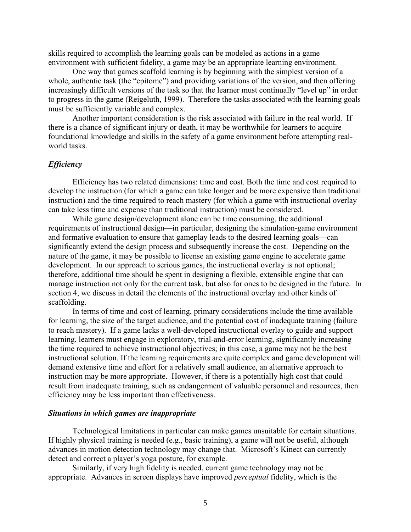skills required to accomplish the learning goals can be modeled as actions in a game environment with sufficient fidelity, a game may be an appropriate learning environment.

One way that games scaffold learning is by beginning with the simplest version of a whole, authentic task (the "epitome") and providing variations of the version, and then offering increasingly difficult versions of the task so that the learner must continually "level up" in order to progress in the game (Reigeluth, 1999). Therefore the tasks associated with the learning goals must be sufficiently variable and complex.

Another important consideration is the risk associated with failure in the real world. If there is a chance of significant injury or death, it may be worthwhile for learners to acquire foundational knowledge and skills in the safety of a game environment before attempting realworld tasks.

#### *Efficiency*

Efficiency has two related dimensions: time and cost. Both the time and cost required to develop the instruction (for which a game can take longer and be more expensive than traditional instruction) and the time required to reach mastery (for which a game with instructional overlay can take less time and expense than traditional instruction) must be considered.

While game design/development alone can be time consuming, the additional requirements of instructional design—in particular, designing the simulation-game environment and formative evaluation to ensure that gameplay leads to the desired learning goals—can significantly extend the design process and subsequently increase the cost. Depending on the nature of the game, it may be possible to license an existing game engine to accelerate game development. In our approach to serious games, the instructional overlay is not optional; therefore, additional time should be spent in designing a flexible, extensible engine that can manage instruction not only for the current task, but also for ones to be designed in the future. In section 4, we discuss in detail the elements of the instructional overlay and other kinds of scaffolding.

In terms of time and cost of learning, primary considerations include the time available for learning, the size of the target audience, and the potential cost of inadequate training (failure to reach mastery). If a game lacks a well-developed instructional overlay to guide and support learning, learners must engage in exploratory, trial-and-error learning, significantly increasing the time required to achieve instructional objectives; in this case, a game may not be the best instructional solution. If the learning requirements are quite complex and game development will demand extensive time and effort for a relatively small audience, an alternative approach to instruction may be more appropriate. However, if there is a potentially high cost that could result from inadequate training, such as endangerment of valuable personnel and resources, then efficiency may be less important than effectiveness.

#### *Situations in which games are inappropriate*

Technological limitations in particular can make games unsuitable for certain situations. If highly physical training is needed (e.g., basic training), a game will not be useful, although advances in motion detection technology may change that. Microsoft's Kinect can currently detect and correct a player's yoga posture, for example.

Similarly, if very high fidelity is needed, current game technology may not be appropriate. Advances in screen displays have improved *perceptual* fidelity, which is the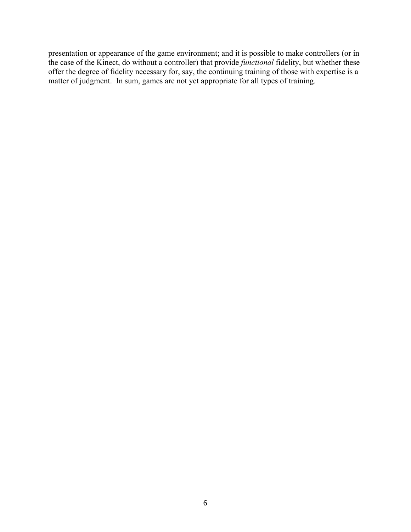presentation or appearance of the game environment; and it is possible to make controllers (or in the case of the Kinect, do without a controller) that provide *functional* fidelity, but whether these offer the degree of fidelity necessary for, say, the continuing training of those with expertise is a matter of judgment. In sum, games are not yet appropriate for all types of training.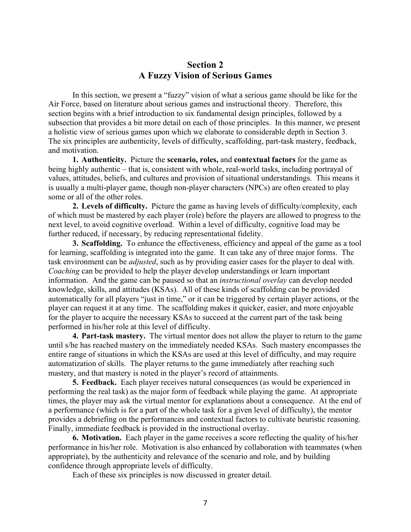## **Section 2 A Fuzzy Vision of Serious Games**

In this section, we present a "fuzzy" vision of what a serious game should be like for the Air Force, based on literature about serious games and instructional theory. Therefore, this section begins with a brief introduction to six fundamental design principles, followed by a subsection that provides a bit more detail on each of those principles. In this manner, we present a holistic view of serious games upon which we elaborate to considerable depth in Section 3. The six principles are authenticity, levels of difficulty, scaffolding, part-task mastery, feedback, and motivation.

**1. Authenticity.** Picture the **scenario, roles,** and **contextual factors** for the game as being highly authentic – that is, consistent with whole, real-world tasks, including portrayal of values, attitudes, beliefs, and cultures and provision of situational understandings. This means it is usually a multi-player game, though non-player characters (NPCs) are often created to play some or all of the other roles.

**2. Levels of difficulty.** Picture the game as having levels of difficulty/complexity, each of which must be mastered by each player (role) before the players are allowed to progress to the next level, to avoid cognitive overload. Within a level of difficulty, cognitive load may be further reduced, if necessary, by reducing representational fidelity.

**3. Scaffolding.** To enhance the effectiveness, efficiency and appeal of the game as a tool for learning, scaffolding is integrated into the game. It can take any of three major forms. The task environment can be *adjusted*, such as by providing easier cases for the player to deal with. *Coaching* can be provided to help the player develop understandings or learn important information. And the game can be paused so that an *instructional overlay* can develop needed knowledge, skills, and attitudes (KSAs). All of these kinds of scaffolding can be provided automatically for all players "just in time," or it can be triggered by certain player actions, or the player can request it at any time. The scaffolding makes it quicker, easier, and more enjoyable for the player to acquire the necessary KSAs to succeed at the current part of the task being performed in his/her role at this level of difficulty.

**4. Part-task mastery.** The virtual mentor does not allow the player to return to the game until s/he has reached mastery on the immediately needed KSAs. Such mastery encompasses the entire range of situations in which the KSAs are used at this level of difficulty, and may require automatization of skills. The player returns to the game immediately after reaching such mastery, and that mastery is noted in the player's record of attainments.

**5. Feedback.** Each player receives natural consequences (as would be experienced in performing the real task) as the major form of feedback while playing the game. At appropriate times, the player may ask the virtual mentor for explanations about a consequence. At the end of a performance (which is for a part of the whole task for a given level of difficulty), the mentor provides a debriefing on the performances and contextual factors to cultivate heuristic reasoning. Finally, immediate feedback is provided in the instructional overlay.

**6. Motivation.** Each player in the game receives a score reflecting the quality of his/her performance in his/her role. Motivation is also enhanced by collaboration with teammates (when appropriate), by the authenticity and relevance of the scenario and role, and by building confidence through appropriate levels of difficulty.

Each of these six principles is now discussed in greater detail.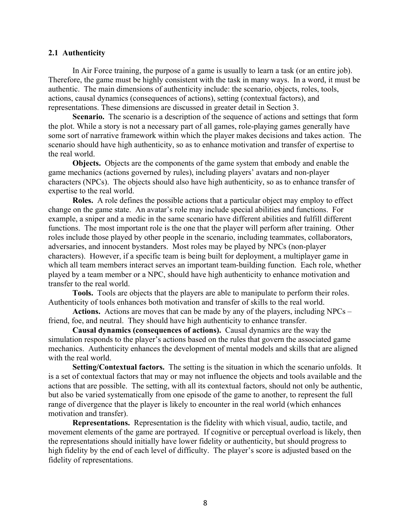#### **2.1 Authenticity**

In Air Force training, the purpose of a game is usually to learn a task (or an entire job). Therefore, the game must be highly consistent with the task in many ways. In a word, it must be authentic. The main dimensions of authenticity include: the scenario, objects, roles, tools, actions, causal dynamics (consequences of actions), setting (contextual factors), and representations. These dimensions are discussed in greater detail in Section 3.

**Scenario.** The scenario is a description of the sequence of actions and settings that form the plot. While a story is not a necessary part of all games, role-playing games generally have some sort of narrative framework within which the player makes decisions and takes action. The scenario should have high authenticity, so as to enhance motivation and transfer of expertise to the real world.

**Objects.** Objects are the components of the game system that embody and enable the game mechanics (actions governed by rules), including players' avatars and non-player characters (NPCs). The objects should also have high authenticity, so as to enhance transfer of expertise to the real world.

**Roles.** A role defines the possible actions that a particular object may employ to effect change on the game state. An avatar's role may include special abilities and functions. For example, a sniper and a medic in the same scenario have different abilities and fulfill different functions. The most important role is the one that the player will perform after training. Other roles include those played by other people in the scenario, including teammates, collaborators, adversaries, and innocent bystanders. Most roles may be played by NPCs (non-player characters). However, if a specific team is being built for deployment, a multiplayer game in which all team members interact serves an important team-building function. Each role, whether played by a team member or a NPC, should have high authenticity to enhance motivation and transfer to the real world.

**Tools.** Tools are objects that the players are able to manipulate to perform their roles. Authenticity of tools enhances both motivation and transfer of skills to the real world.

**Actions.** Actions are moves that can be made by any of the players, including NPCs – friend, foe, and neutral. They should have high authenticity to enhance transfer.

**Causal dynamics (consequences of actions).** Causal dynamics are the way the simulation responds to the player's actions based on the rules that govern the associated game mechanics. Authenticity enhances the development of mental models and skills that are aligned with the real world.

**Setting/Contextual factors.** The setting is the situation in which the scenario unfolds. It is a set of contextual factors that may or may not influence the objects and tools available and the actions that are possible. The setting, with all its contextual factors, should not only be authentic, but also be varied systematically from one episode of the game to another, to represent the full range of divergence that the player is likely to encounter in the real world (which enhances motivation and transfer).

**Representations.** Representation is the fidelity with which visual, audio, tactile, and movement elements of the game are portrayed. If cognitive or perceptual overload is likely, then the representations should initially have lower fidelity or authenticity, but should progress to high fidelity by the end of each level of difficulty. The player's score is adjusted based on the fidelity of representations.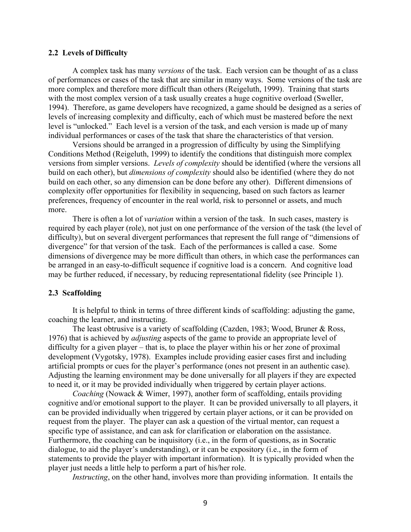#### **2.2 Levels of Difficulty**

A complex task has many *versions* of the task. Each version can be thought of as a class of performances or cases of the task that are similar in many ways. Some versions of the task are more complex and therefore more difficult than others (Reigeluth, 1999). Training that starts with the most complex version of a task usually creates a huge cognitive overload (Sweller, 1994). Therefore, as game developers have recognized, a game should be designed as a series of levels of increasing complexity and difficulty, each of which must be mastered before the next level is "unlocked." Each level is a version of the task, and each version is made up of many individual performances or cases of the task that share the characteristics of that version.

Versions should be arranged in a progression of difficulty by using the Simplifying Conditions Method (Reigeluth, 1999) to identify the conditions that distinguish more complex versions from simpler versions. *Levels of complexity* should be identified (where the versions all build on each other), but *dimensions of complexity* should also be identified (where they do not build on each other, so any dimension can be done before any other). Different dimensions of complexity offer opportunities for flexibility in sequencing, based on such factors as learner preferences, frequency of encounter in the real world, risk to personnel or assets, and much more.

There is often a lot of *variation* within a version of the task. In such cases, mastery is required by each player (role), not just on one performance of the version of the task (the level of difficulty), but on several divergent performances that represent the full range of "dimensions of divergence" for that version of the task. Each of the performances is called a case. Some dimensions of divergence may be more difficult than others, in which case the performances can be arranged in an easy-to-difficult sequence if cognitive load is a concern. And cognitive load may be further reduced, if necessary, by reducing representational fidelity (see Principle 1).

#### **2.3 Scaffolding**

It is helpful to think in terms of three different kinds of scaffolding: adjusting the game, coaching the learner, and instructing.

The least obtrusive is a variety of scaffolding (Cazden, 1983; Wood, Bruner & Ross, 1976) that is achieved by *adjusting* aspects of the game to provide an appropriate level of difficulty for a given player – that is, to place the player within his or her zone of proximal development (Vygotsky, 1978). Examples include providing easier cases first and including artificial prompts or cues for the player's performance (ones not present in an authentic case). Adjusting the learning environment may be done universally for all players if they are expected to need it, or it may be provided individually when triggered by certain player actions.

*Coaching* (Nowack & Wimer, 1997), another form of scaffolding, entails providing cognitive and/or emotional support to the player. It can be provided universally to all players, it can be provided individually when triggered by certain player actions, or it can be provided on request from the player. The player can ask a question of the virtual mentor, can request a specific type of assistance, and can ask for clarification or elaboration on the assistance. Furthermore, the coaching can be inquisitory (i.e., in the form of questions, as in Socratic dialogue, to aid the player's understanding), or it can be expository (i.e., in the form of statements to provide the player with important information). It is typically provided when the player just needs a little help to perform a part of his/her role.

*Instructing*, on the other hand, involves more than providing information. It entails the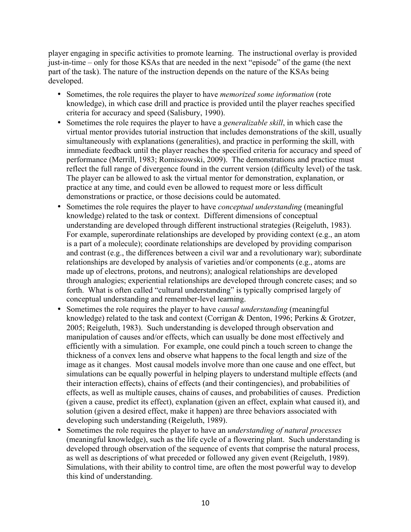player engaging in specific activities to promote learning. The instructional overlay is provided just-in-time – only for those KSAs that are needed in the next "episode" of the game (the next part of the task). The nature of the instruction depends on the nature of the KSAs being developed.

- Sometimes, the role requires the player to have *memorized some information* (rote knowledge), in which case drill and practice is provided until the player reaches specified criteria for accuracy and speed (Salisbury, 1990).
- Sometimes the role requires the player to have a *generalizable skill*, in which case the virtual mentor provides tutorial instruction that includes demonstrations of the skill, usually simultaneously with explanations (generalities), and practice in performing the skill, with immediate feedback until the player reaches the specified criteria for accuracy and speed of performance (Merrill, 1983; Romiszowski, 2009). The demonstrations and practice must reflect the full range of divergence found in the current version (difficulty level) of the task. The player can be allowed to ask the virtual mentor for demonstration, explanation, or practice at any time, and could even be allowed to request more or less difficult demonstrations or practice, or those decisions could be automated.
- Sometimes the role requires the player to have *conceptual understanding* (meaningful knowledge) related to the task or context. Different dimensions of conceptual understanding are developed through different instructional strategies (Reigeluth, 1983). For example, superordinate relationships are developed by providing context (e.g., an atom is a part of a molecule); coordinate relationships are developed by providing comparison and contrast (e.g., the differences between a civil war and a revolutionary war); subordinate relationships are developed by analysis of varieties and/or components (e.g., atoms are made up of electrons, protons, and neutrons); analogical relationships are developed through analogies; experiential relationships are developed through concrete cases; and so forth. What is often called "cultural understanding" is typically comprised largely of conceptual understanding and remember-level learning.
- Sometimes the role requires the player to have *causal understanding* (meaningful knowledge) related to the task and context (Corrigan & Denton, 1996; Perkins & Grotzer, 2005; Reigeluth, 1983). Such understanding is developed through observation and manipulation of causes and/or effects, which can usually be done most effectively and efficiently with a simulation. For example, one could pinch a touch screen to change the thickness of a convex lens and observe what happens to the focal length and size of the image as it changes. Most causal models involve more than one cause and one effect, but simulations can be equally powerful in helping players to understand multiple effects (and their interaction effects), chains of effects (and their contingencies), and probabilities of effects, as well as multiple causes, chains of causes, and probabilities of causes. Prediction (given a cause, predict its effect), explanation (given an effect, explain what caused it), and solution (given a desired effect, make it happen) are three behaviors associated with developing such understanding (Reigeluth, 1989).
- Sometimes the role requires the player to have an *understanding of natural processes* (meaningful knowledge), such as the life cycle of a flowering plant. Such understanding is developed through observation of the sequence of events that comprise the natural process, as well as descriptions of what preceded or followed any given event (Reigeluth, 1989). Simulations, with their ability to control time, are often the most powerful way to develop this kind of understanding.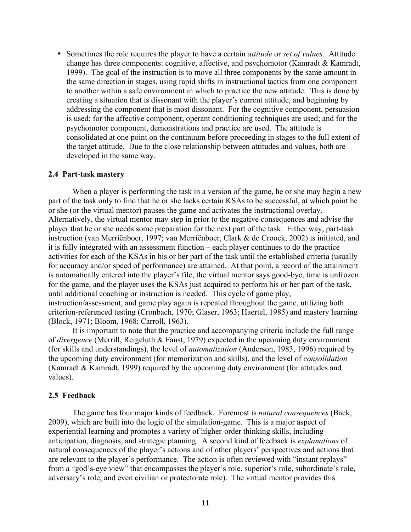• Sometimes the role requires the player to have a certain *attitude* or *set of values*. Attitude change has three components: cognitive, affective, and psychomotor (Kamradt & Kamradt, 1999). The goal of the instruction is to move all three components by the same amount in the same direction in stages, using rapid shifts in instructional tactics from one component to another within a safe environment in which to practice the new attitude. This is done by creating a situation that is dissonant with the player's current attitude, and beginning by addressing the component that is most dissonant. For the cognitive component, persuasion is used; for the affective component, operant conditioning techniques are used; and for the psychomotor component, demonstrations and practice are used. The attitude is consolidated at one point on the continuum before proceeding in stages to the full extent of the target attitude. Due to the close relationship between attitudes and values, both are developed in the same way.

#### **2.4 Part-task mastery**

When a player is performing the task in a version of the game, he or she may begin a new part of the task only to find that he or she lacks certain KSAs to be successful, at which point he or she (or the virtual mentor) pauses the game and activates the instructional overlay. Alternatively, the virtual mentor may step in prior to the negative consequences and advise the player that he or she needs some preparation for the next part of the task. Either way, part-task instruction (van Merriënboer, 1997; van Merriënboer, Clark & de Croock, 2002) is initiated, and it is fully integrated with an assessment function – each player continues to do the practice activities for each of the KSAs in his or her part of the task until the established criteria (usually for accuracy and/or speed of performance) are attained. At that point, a record of the attainment is automatically entered into the player's file, the virtual mentor says good-bye, time is unfrozen for the game, and the player uses the KSAs just acquired to perform his or her part of the task, until additional coaching or instruction is needed. This cycle of game play, instruction/assessment, and game play again is repeated throughout the game, utilizing both criterion-referenced testing (Cronbach, 1970; Glaser, 1963; Haertel, 1985) and mastery learning (Block, 1971; Bloom, 1968; Carroll, 1963).

It is important to note that the practice and accompanying criteria include the full range of *divergence* (Merrill, Reigeluth & Faust, 1979) expected in the upcoming duty environment (for skills and understandings), the level of *automatization* (Anderson, 1983, 1996) required by the upcoming duty environment (for memorization and skills), and the level of *consolidation* (Kamradt & Kamradt, 1999) required by the upcoming duty environment (for attitudes and values).

#### **2.5 Feedback**

The game has four major kinds of feedback. Foremost is *natural consequences* (Baek, 2009), which are built into the logic of the simulation-game. This is a major aspect of experiential learning and promotes a variety of higher-order thinking skills, including anticipation, diagnosis, and strategic planning. A second kind of feedback is *explanations* of natural consequences of the player's actions and of other players' perspectives and actions that are relevant to the player's performance. The action is often reviewed with "instant replays" from a "god's-eye view" that encompasses the player's role, superior's role, subordinate's role, adversary's role, and even civilian or protectorate role). The virtual mentor provides this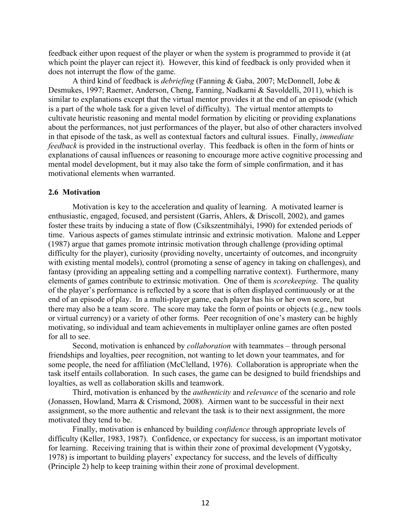feedback either upon request of the player or when the system is programmed to provide it (at which point the player can reject it). However, this kind of feedback is only provided when it does not interrupt the flow of the game.

A third kind of feedback is *debriefing* (Fanning & Gaba, 2007; McDonnell, Jobe & Desmukes, 1997; Raemer, Anderson, Cheng, Fanning, Nadkarni & Savoldelli, 2011), which is similar to explanations except that the virtual mentor provides it at the end of an episode (which is a part of the whole task for a given level of difficulty). The virtual mentor attempts to cultivate heuristic reasoning and mental model formation by eliciting or providing explanations about the performances, not just performances of the player, but also of other characters involved in that episode of the task, as well as contextual factors and cultural issues. Finally, *immediate feedback* is provided in the instructional overlay. This feedback is often in the form of hints or explanations of causal influences or reasoning to encourage more active cognitive processing and mental model development, but it may also take the form of simple confirmation, and it has motivational elements when warranted.

#### **2.6 Motivation**

Motivation is key to the acceleration and quality of learning. A motivated learner is enthusiastic, engaged, focused, and persistent (Garris, Ahlers, & Driscoll, 2002), and games foster these traits by inducing a state of flow (Csíkszentmihályi, 1990) for extended periods of time. Various aspects of games stimulate intrinsic and extrinsic motivation. Malone and Lepper (1987) argue that games promote intrinsic motivation through challenge (providing optimal difficulty for the player), curiosity (providing novelty, uncertainty of outcomes, and incongruity with existing mental models), control (promoting a sense of agency in taking on challenges), and fantasy (providing an appealing setting and a compelling narrative context). Furthermore, many elements of games contribute to extrinsic motivation. One of them is *scorekeeping*. The quality of the player's performance is reflected by a score that is often displayed continuously or at the end of an episode of play. In a multi-player game, each player has his or her own score, but there may also be a team score. The score may take the form of points or objects (e.g., new tools or virtual currency) or a variety of other forms. Peer recognition of one's mastery can be highly motivating, so individual and team achievements in multiplayer online games are often posted for all to see.

Second, motivation is enhanced by *collaboration* with teammates – through personal friendships and loyalties, peer recognition, not wanting to let down your teammates, and for some people, the need for affiliation (McClelland, 1976). Collaboration is appropriate when the task itself entails collaboration. In such cases, the game can be designed to build friendships and loyalties, as well as collaboration skills and teamwork.

Third, motivation is enhanced by the *authenticity* and *relevance* of the scenario and role (Jonassen, Howland, Marra & Crismond, 2008). Airmen want to be successful in their next assignment, so the more authentic and relevant the task is to their next assignment, the more motivated they tend to be.

Finally, motivation is enhanced by building *confidence* through appropriate levels of difficulty (Keller, 1983, 1987). Confidence, or expectancy for success, is an important motivator for learning. Receiving training that is within their zone of proximal development (Vygotsky, 1978) is important to building players' expectancy for success, and the levels of difficulty (Principle 2) help to keep training within their zone of proximal development.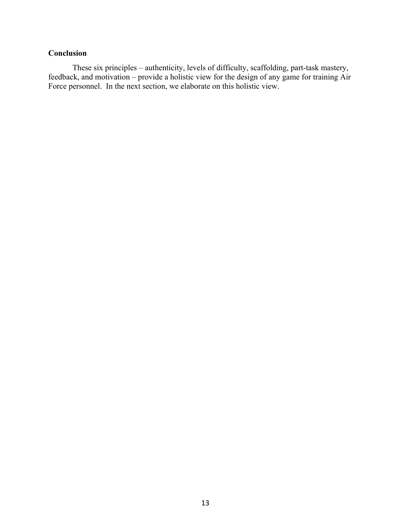## **Conclusion**

These six principles – authenticity, levels of difficulty, scaffolding, part-task mastery, feedback, and motivation – provide a holistic view for the design of any game for training Air Force personnel. In the next section, we elaborate on this holistic view.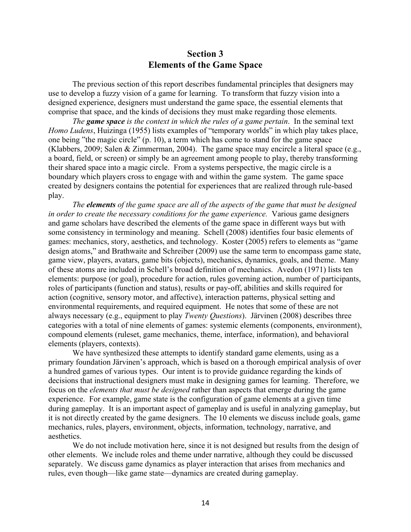## **Section 3 Elements of the Game Space**

The previous section of this report describes fundamental principles that designers may use to develop a fuzzy vision of a game for learning. To transform that fuzzy vision into a designed experience, designers must understand the game space, the essential elements that comprise that space, and the kinds of decisions they must make regarding those elements.

*The game space is the context in which the rules of a game pertain*. In the seminal text *Homo Ludens*, Huizinga (1955) lists examples of "temporary worlds" in which play takes place, one being "the magic circle" (p. 10), a term which has come to stand for the game space (Klabbers, 2009; Salen & Zimmerman, 2004). The game space may encircle a literal space (e.g., a board, field, or screen) or simply be an agreement among people to play, thereby transforming their shared space into a magic circle. From a systems perspective, the magic circle is a boundary which players cross to engage with and within the game system. The game space created by designers contains the potential for experiences that are realized through rule-based play.

*The elements of the game space are all of the aspects of the game that must be designed in order to create the necessary conditions for the game experience.* Various game designers and game scholars have described the elements of the game space in different ways but with some consistency in terminology and meaning. Schell (2008) identifies four basic elements of games: mechanics, story, aesthetics, and technology. Koster (2005) refers to elements as "game design atoms," and Brathwaite and Schreiber (2009) use the same term to encompass game state, game view, players, avatars, game bits (objects), mechanics, dynamics, goals, and theme. Many of these atoms are included in Schell's broad definition of mechanics. Avedon (1971) lists ten elements: purpose (or goal), procedure for action, rules governing action, number of participants, roles of participants (function and status), results or pay-off, abilities and skills required for action (cognitive, sensory motor, and affective), interaction patterns, physical setting and environmental requirements, and required equipment. He notes that some of these are not always necessary (e.g., equipment to play *Twenty Questions*). Järvinen (2008) describes three categories with a total of nine elements of games: systemic elements (components, environment), compound elements (ruleset, game mechanics, theme, interface, information), and behavioral elements (players, contexts).

We have synthesized these attempts to identify standard game elements, using as a primary foundation Järvinen's approach, which is based on a thorough empirical analysis of over a hundred games of various types. Our intent is to provide guidance regarding the kinds of decisions that instructional designers must make in designing games for learning. Therefore, we focus on the *elements that must be designed* rather than aspects that emerge during the game experience. For example, game state is the configuration of game elements at a given time during gameplay. It is an important aspect of gameplay and is useful in analyzing gameplay, but it is not directly created by the game designers. The 10 elements we discuss include goals, game mechanics, rules, players, environment, objects, information, technology, narrative, and aesthetics.

We do not include motivation here, since it is not designed but results from the design of other elements. We include roles and theme under narrative, although they could be discussed separately. We discuss game dynamics as player interaction that arises from mechanics and rules, even though—like game state—dynamics are created during gameplay.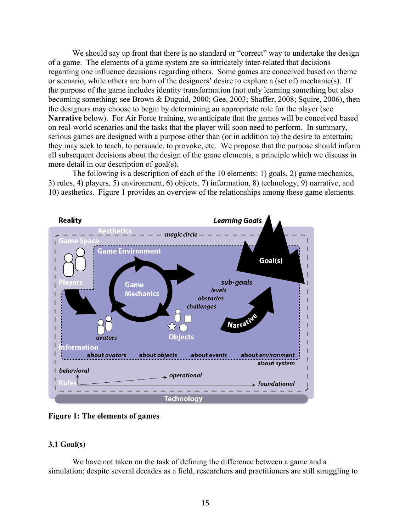We should say up front that there is no standard or "correct" way to undertake the design of a game. The elements of a game system are so intricately inter-related that decisions regarding one influence decisions regarding others. Some games are conceived based on theme or scenario, while others are born of the designers' desire to explore a (set of) mechanic(s). If the purpose of the game includes identity transformation (not only learning something but also becoming something; see Brown & Duguid, 2000; Gee, 2003; Shaffer, 2008; Squire, 2006), then the designers may choose to begin by determining an appropriate role for the player (see **Narrative** below). For Air Force training, we anticipate that the games will be conceived based on real-world scenarios and the tasks that the player will soon need to perform. In summary, serious games are designed with a purpose other than (or in addition to) the desire to entertain; they may seek to teach, to persuade, to provoke, etc. We propose that the purpose should inform all subsequent decisions about the design of the game elements, a principle which we discuss in more detail in our description of goal(s).

The following is a description of each of the 10 elements: 1) goals, 2) game mechanics, 3) rules, 4) players, 5) environment, 6) objects, 7) information, 8) technology, 9) narrative, and 10) aesthetics. Figure 1 provides an overview of the relationships among these game elements.



**Figure 1: The elements of games**

## **3.1 Goal(s)**

We have not taken on the task of defining the difference between a game and a simulation; despite several decades as a field, researchers and practitioners are still struggling to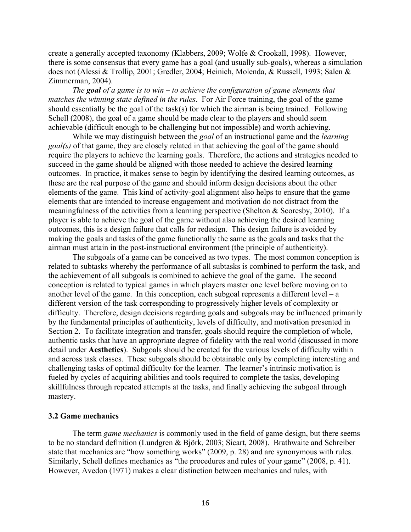create a generally accepted taxonomy (Klabbers, 2009; Wolfe & Crookall, 1998). However, there is some consensus that every game has a goal (and usually sub-goals), whereas a simulation does not (Alessi & Trollip, 2001; Gredler, 2004; Heinich, Molenda, & Russell, 1993; Salen & Zimmerman, 2004).

*The goal of a game is to win – to achieve the configuration of game elements that matches the winning state defined in the rules*. For Air Force training, the goal of the game should essentially be the goal of the task(s) for which the airman is being trained. Following Schell (2008), the goal of a game should be made clear to the players and should seem achievable (difficult enough to be challenging but not impossible) and worth achieving.

While we may distinguish between the *goal* of an instructional game and the *learning goal(s)* of that game, they are closely related in that achieving the goal of the game should require the players to achieve the learning goals. Therefore, the actions and strategies needed to succeed in the game should be aligned with those needed to achieve the desired learning outcomes. In practice, it makes sense to begin by identifying the desired learning outcomes, as these are the real purpose of the game and should inform design decisions about the other elements of the game. This kind of activity-goal alignment also helps to ensure that the game elements that are intended to increase engagement and motivation do not distract from the meaningfulness of the activities from a learning perspective (Shelton & Scoresby, 2010). If a player is able to achieve the goal of the game without also achieving the desired learning outcomes, this is a design failure that calls for redesign. This design failure is avoided by making the goals and tasks of the game functionally the same as the goals and tasks that the airman must attain in the post-instructional environment (the principle of authenticity).

The subgoals of a game can be conceived as two types. The most common conception is related to subtasks whereby the performance of all subtasks is combined to perform the task, and the achievement of all subgoals is combined to achieve the goal of the game. The second conception is related to typical games in which players master one level before moving on to another level of the game. In this conception, each subgoal represents a different level –  $a$ different version of the task corresponding to progressively higher levels of complexity or difficulty. Therefore, design decisions regarding goals and subgoals may be influenced primarily by the fundamental principles of authenticity, levels of difficulty, and motivation presented in Section 2. To facilitate integration and transfer, goals should require the completion of whole, authentic tasks that have an appropriate degree of fidelity with the real world (discussed in more detail under **Aesthetics**). Subgoals should be created for the various levels of difficulty within and across task classes. These subgoals should be obtainable only by completing interesting and challenging tasks of optimal difficulty for the learner. The learner's intrinsic motivation is fueled by cycles of acquiring abilities and tools required to complete the tasks, developing skillfulness through repeated attempts at the tasks, and finally achieving the subgoal through mastery.

#### **3.2 Game mechanics**

The term *game mechanics* is commonly used in the field of game design, but there seems to be no standard definition (Lundgren & Björk, 2003; Sicart, 2008). Brathwaite and Schreiber state that mechanics are "how something works" (2009, p. 28) and are synonymous with rules. Similarly, Schell defines mechanics as "the procedures and rules of your game" (2008, p. 41). However, Avedon (1971) makes a clear distinction between mechanics and rules, with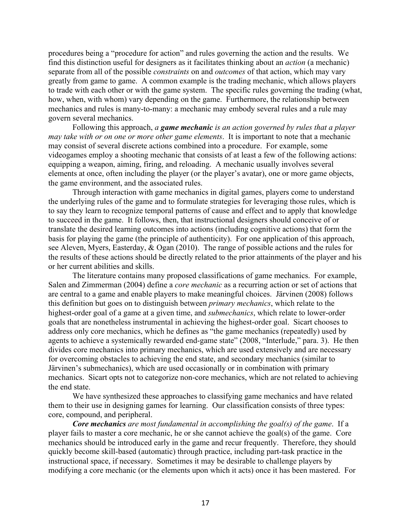procedures being a "procedure for action" and rules governing the action and the results. We find this distinction useful for designers as it facilitates thinking about an *action* (a mechanic) separate from all of the possible *constraints* on and *outcomes* of that action, which may vary greatly from game to game. A common example is the trading mechanic, which allows players to trade with each other or with the game system. The specific rules governing the trading (what, how, when, with whom) vary depending on the game. Furthermore, the relationship between mechanics and rules is many-to-many: a mechanic may embody several rules and a rule may govern several mechanics.

Following this approach, *a game mechanic is an action governed by rules that a player may take with or on one or more other game elements*. It is important to note that a mechanic may consist of several discrete actions combined into a procedure. For example, some videogames employ a shooting mechanic that consists of at least a few of the following actions: equipping a weapon, aiming, firing, and reloading. A mechanic usually involves several elements at once, often including the player (or the player's avatar), one or more game objects, the game environment, and the associated rules.

Through interaction with game mechanics in digital games, players come to understand the underlying rules of the game and to formulate strategies for leveraging those rules, which is to say they learn to recognize temporal patterns of cause and effect and to apply that knowledge to succeed in the game. It follows, then, that instructional designers should conceive of or translate the desired learning outcomes into actions (including cognitive actions) that form the basis for playing the game (the principle of authenticity). For one application of this approach, see Aleven, Myers, Easterday, & Ogan (2010). The range of possible actions and the rules for the results of these actions should be directly related to the prior attainments of the player and his or her current abilities and skills.

The literature contains many proposed classifications of game mechanics. For example, Salen and Zimmerman (2004) define a *core mechanic* as a recurring action or set of actions that are central to a game and enable players to make meaningful choices. Järvinen (2008) follows this definition but goes on to distinguish between *primary mechanics*, which relate to the highest-order goal of a game at a given time, and *submechanics*, which relate to lower-order goals that are nonetheless instrumental in achieving the highest-order goal. Sicart chooses to address only core mechanics, which he defines as "the game mechanics (repeatedly) used by agents to achieve a systemically rewarded end-game state" (2008, "Interlude," para. 3). He then divides core mechanics into primary mechanics, which are used extensively and are necessary for overcoming obstacles to achieving the end state, and secondary mechanics (similar to Järvinen's submechanics), which are used occasionally or in combination with primary mechanics. Sicart opts not to categorize non-core mechanics, which are not related to achieving the end state.

We have synthesized these approaches to classifying game mechanics and have related them to their use in designing games for learning. Our classification consists of three types: core, compound, and peripheral.

*Core mechanics are most fundamental in accomplishing the goal(s) of the game*. If a player fails to master a core mechanic, he or she cannot achieve the goal(s) of the game. Core mechanics should be introduced early in the game and recur frequently. Therefore, they should quickly become skill-based (automatic) through practice, including part-task practice in the instructional space, if necessary. Sometimes it may be desirable to challenge players by modifying a core mechanic (or the elements upon which it acts) once it has been mastered. For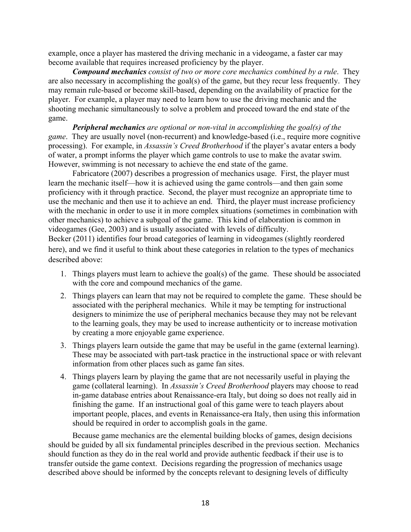example, once a player has mastered the driving mechanic in a videogame, a faster car may become available that requires increased proficiency by the player.

*Compound mechanics consist of two or more core mechanics combined by a rule*. They are also necessary in accomplishing the goal(s) of the game, but they recur less frequently. They may remain rule-based or become skill-based, depending on the availability of practice for the player. For example, a player may need to learn how to use the driving mechanic and the shooting mechanic simultaneously to solve a problem and proceed toward the end state of the game.

*Peripheral mechanics are optional or non-vital in accomplishing the goal(s) of the game*. They are usually novel (non-recurrent) and knowledge-based (i.e., require more cognitive processing). For example, in *Assassin's Creed Brotherhood* if the player's avatar enters a body of water, a prompt informs the player which game controls to use to make the avatar swim. However, swimming is not necessary to achieve the end state of the game.

Fabricatore (2007) describes a progression of mechanics usage. First, the player must learn the mechanic itself—how it is achieved using the game controls—and then gain some proficiency with it through practice. Second, the player must recognize an appropriate time to use the mechanic and then use it to achieve an end. Third, the player must increase proficiency with the mechanic in order to use it in more complex situations (sometimes in combination with other mechanics) to achieve a subgoal of the game. This kind of elaboration is common in videogames (Gee, 2003) and is usually associated with levels of difficulty.

Becker (2011) identifies four broad categories of learning in videogames (slightly reordered here), and we find it useful to think about these categories in relation to the types of mechanics described above:

- 1. Things players must learn to achieve the goal(s) of the game. These should be associated with the core and compound mechanics of the game.
- 2. Things players can learn that may not be required to complete the game. These should be associated with the peripheral mechanics. While it may be tempting for instructional designers to minimize the use of peripheral mechanics because they may not be relevant to the learning goals, they may be used to increase authenticity or to increase motivation by creating a more enjoyable game experience.
- 3. Things players learn outside the game that may be useful in the game (external learning). These may be associated with part-task practice in the instructional space or with relevant information from other places such as game fan sites.
- 4. Things players learn by playing the game that are not necessarily useful in playing the game (collateral learning). In *Assassin's Creed Brotherhood* players may choose to read in-game database entries about Renaissance-era Italy, but doing so does not really aid in finishing the game. If an instructional goal of this game were to teach players about important people, places, and events in Renaissance-era Italy, then using this information should be required in order to accomplish goals in the game.

Because game mechanics are the elemental building blocks of games, design decisions should be guided by all six fundamental principles described in the previous section. Mechanics should function as they do in the real world and provide authentic feedback if their use is to transfer outside the game context. Decisions regarding the progression of mechanics usage described above should be informed by the concepts relevant to designing levels of difficulty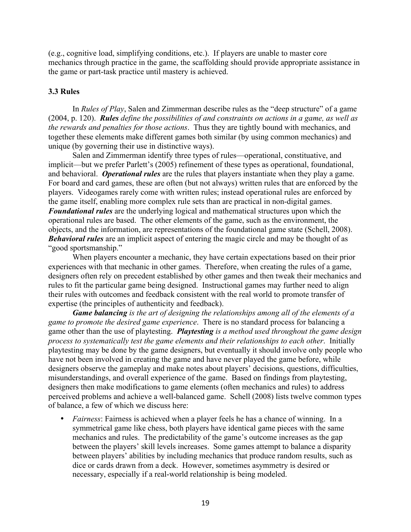(e.g., cognitive load, simplifying conditions, etc.). If players are unable to master core mechanics through practice in the game, the scaffolding should provide appropriate assistance in the game or part-task practice until mastery is achieved.

### **3.3 Rules**

In *Rules of Play*, Salen and Zimmerman describe rules as the "deep structure" of a game (2004, p. 120). *Rules define the possibilities of and constraints on actions in a game, as well as the rewards and penalties for those actions*. Thus they are tightly bound with mechanics, and together these elements make different games both similar (by using common mechanics) and unique (by governing their use in distinctive ways).

Salen and Zimmerman identify three types of rules—operational, constituative, and implicit—but we prefer Parlett's (2005) refinement of these types as operational, foundational, and behavioral. *Operational rules* are the rules that players instantiate when they play a game. For board and card games, these are often (but not always) written rules that are enforced by the players. Videogames rarely come with written rules; instead operational rules are enforced by the game itself, enabling more complex rule sets than are practical in non-digital games. *Foundational rules* are the underlying logical and mathematical structures upon which the operational rules are based. The other elements of the game, such as the environment, the objects, and the information, are representations of the foundational game state (Schell, 2008). *Behavioral rules* are an implicit aspect of entering the magic circle and may be thought of as "good sportsmanship."

When players encounter a mechanic, they have certain expectations based on their prior experiences with that mechanic in other games. Therefore, when creating the rules of a game, designers often rely on precedent established by other games and then tweak their mechanics and rules to fit the particular game being designed. Instructional games may further need to align their rules with outcomes and feedback consistent with the real world to promote transfer of expertise (the principles of authenticity and feedback).

*Game balancing is the art of designing the relationships among all of the elements of a game to promote the desired game experience*. There is no standard process for balancing a game other than the use of playtesting. *Playtesting is a method used throughout the game design process to systematically test the game elements and their relationships to each other*. Initially playtesting may be done by the game designers, but eventually it should involve only people who have not been involved in creating the game and have never played the game before, while designers observe the gameplay and make notes about players' decisions, questions, difficulties, misunderstandings, and overall experience of the game. Based on findings from playtesting, designers then make modifications to game elements (often mechanics and rules) to address perceived problems and achieve a well-balanced game. Schell (2008) lists twelve common types of balance, a few of which we discuss here:

• *Fairness*: Fairness is achieved when a player feels he has a chance of winning. In a symmetrical game like chess, both players have identical game pieces with the same mechanics and rules. The predictability of the game's outcome increases as the gap between the players' skill levels increases. Some games attempt to balance a disparity between players' abilities by including mechanics that produce random results, such as dice or cards drawn from a deck. However, sometimes asymmetry is desired or necessary, especially if a real-world relationship is being modeled.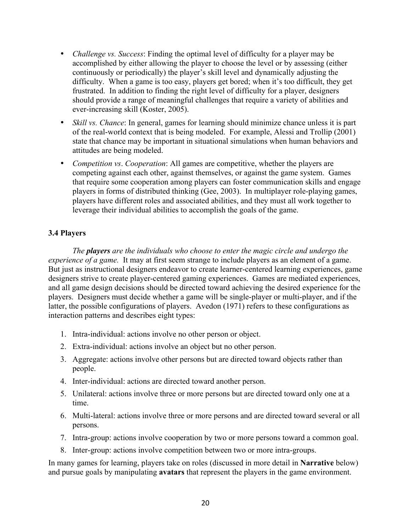- *Challenge vs. Success*: Finding the optimal level of difficulty for a player may be accomplished by either allowing the player to choose the level or by assessing (either continuously or periodically) the player's skill level and dynamically adjusting the difficulty. When a game is too easy, players get bored; when it's too difficult, they get frustrated. In addition to finding the right level of difficulty for a player, designers should provide a range of meaningful challenges that require a variety of abilities and ever-increasing skill (Koster, 2005).
- *Skill vs. Chance*: In general, games for learning should minimize chance unless it is part of the real-world context that is being modeled. For example, Alessi and Trollip (2001) state that chance may be important in situational simulations when human behaviors and attitudes are being modeled.
- *Competition vs*. *Cooperation*: All games are competitive, whether the players are competing against each other, against themselves, or against the game system. Games that require some cooperation among players can foster communication skills and engage players in forms of distributed thinking (Gee, 2003). In multiplayer role-playing games, players have different roles and associated abilities, and they must all work together to leverage their individual abilities to accomplish the goals of the game.

## **3.4 Players**

*The players are the individuals who choose to enter the magic circle and undergo the experience of a game.* It may at first seem strange to include players as an element of a game. But just as instructional designers endeavor to create learner-centered learning experiences, game designers strive to create player-centered gaming experiences. Games are mediated experiences, and all game design decisions should be directed toward achieving the desired experience for the players. Designers must decide whether a game will be single-player or multi-player, and if the latter, the possible configurations of players. Avedon (1971) refers to these configurations as interaction patterns and describes eight types:

- 1. Intra-individual: actions involve no other person or object.
- 2. Extra-individual: actions involve an object but no other person.
- 3. Aggregate: actions involve other persons but are directed toward objects rather than people.
- 4. Inter-individual: actions are directed toward another person.
- 5. Unilateral: actions involve three or more persons but are directed toward only one at a time.
- 6. Multi-lateral: actions involve three or more persons and are directed toward several or all persons.
- 7. Intra-group: actions involve cooperation by two or more persons toward a common goal.
- 8. Inter-group: actions involve competition between two or more intra-groups.

In many games for learning, players take on roles (discussed in more detail in **Narrative** below) and pursue goals by manipulating **avatars** that represent the players in the game environment.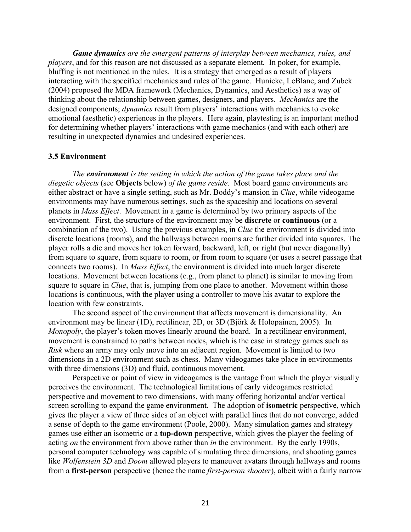*Game dynamics are the emergent patterns of interplay between mechanics, rules, and players*, and for this reason are not discussed as a separate element*.* In poker, for example, bluffing is not mentioned in the rules. It is a strategy that emerged as a result of players interacting with the specified mechanics and rules of the game. Hunicke, LeBlanc, and Zubek (2004) proposed the MDA framework (Mechanics, Dynamics, and Aesthetics) as a way of thinking about the relationship between games, designers, and players. *Mechanics* are the designed components; *dynamics* result from players' interactions with mechanics to evoke emotional (aesthetic) experiences in the players. Here again, playtesting is an important method for determining whether players' interactions with game mechanics (and with each other) are resulting in unexpected dynamics and undesired experiences.

#### **3.5 Environment**

*The environment is the setting in which the action of the game takes place and the diegetic objects* (see **Objects** below) *of the game reside*. Most board game environments are either abstract or have a single setting, such as Mr. Boddy's mansion in *Clue*, while videogame environments may have numerous settings, such as the spaceship and locations on several planets in *Mass Effect*. Movement in a game is determined by two primary aspects of the environment. First, the structure of the environment may be **discrete** or **continuous** (or a combination of the two). Using the previous examples, in *Clue* the environment is divided into discrete locations (rooms), and the hallways between rooms are further divided into squares. The player rolls a die and moves her token forward, backward, left, or right (but never diagonally) from square to square, from square to room, or from room to square (or uses a secret passage that connects two rooms). In *Mass Effect*, the environment is divided into much larger discrete locations. Movement between locations (e.g., from planet to planet) is similar to moving from square to square in *Clue*, that is, jumping from one place to another. Movement within those locations is continuous, with the player using a controller to move his avatar to explore the location with few constraints.

The second aspect of the environment that affects movement is dimensionality. An environment may be linear (1D), rectilinear, 2D, or 3D (Björk & Holopainen, 2005). In *Monopoly*, the player's token moves linearly around the board. In a rectilinear environment, movement is constrained to paths between nodes, which is the case in strategy games such as *Risk* where an army may only move into an adjacent region. Movement is limited to two dimensions in a 2D environment such as chess. Many videogames take place in environments with three dimensions (3D) and fluid, continuous movement.

Perspective or point of view in videogames is the vantage from which the player visually perceives the environment. The technological limitations of early videogames restricted perspective and movement to two dimensions, with many offering horizontal and/or vertical screen scrolling to expand the game environment. The adoption of **isometric** perspective, which gives the player a view of three sides of an object with parallel lines that do not converge, added a sense of depth to the game environment (Poole, 2000). Many simulation games and strategy games use either an isometric or a **top-down** perspective, which gives the player the feeling of acting *on* the environment from above rather than *in* the environment. By the early 1990s, personal computer technology was capable of simulating three dimensions, and shooting games like *Wolfenstein 3D* and *Doom* allowed players to maneuver avatars through hallways and rooms from a **first-person** perspective (hence the name *first-person shooter*), albeit with a fairly narrow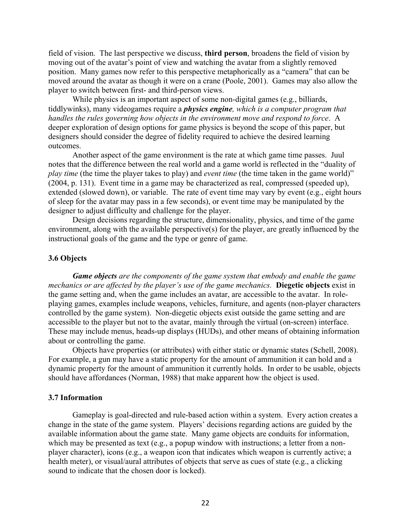field of vision. The last perspective we discuss, **third person**, broadens the field of vision by moving out of the avatar's point of view and watching the avatar from a slightly removed position. Many games now refer to this perspective metaphorically as a "camera" that can be moved around the avatar as though it were on a crane (Poole, 2001). Games may also allow the player to switch between first- and third-person views.

While physics is an important aspect of some non-digital games (e.g., billiards, tiddlywinks), many videogames require a *physics engine, which is a computer program that handles the rules governing how objects in the environment move and respond to force*. A deeper exploration of design options for game physics is beyond the scope of this paper, but designers should consider the degree of fidelity required to achieve the desired learning outcomes.

Another aspect of the game environment is the rate at which game time passes. Juul notes that the difference between the real world and a game world is reflected in the "duality of *play time* (the time the player takes to play) and *event time* (the time taken in the game world)" (2004, p. 131). Event time in a game may be characterized as real, compressed (speeded up), extended (slowed down), or variable. The rate of event time may vary by event (e.g., eight hours of sleep for the avatar may pass in a few seconds), or event time may be manipulated by the designer to adjust difficulty and challenge for the player.

Design decisions regarding the structure, dimensionality, physics, and time of the game environment, along with the available perspective(s) for the player, are greatly influenced by the instructional goals of the game and the type or genre of game.

#### **3.6 Objects**

*Game objects are the components of the game system that embody and enable the game mechanics or are affected by the player's use of the game mechanics.* **Diegetic objects** exist in the game setting and, when the game includes an avatar, are accessible to the avatar. In roleplaying games, examples include weapons, vehicles, furniture, and agents (non-player characters controlled by the game system). Non-diegetic objects exist outside the game setting and are accessible to the player but not to the avatar, mainly through the virtual (on-screen) interface. These may include menus, heads-up displays (HUDs), and other means of obtaining information about or controlling the game.

Objects have properties (or attributes) with either static or dynamic states (Schell, 2008). For example, a gun may have a static property for the amount of ammunition it can hold and a dynamic property for the amount of ammunition it currently holds. In order to be usable, objects should have affordances (Norman, 1988) that make apparent how the object is used.

#### **3.7 Information**

Gameplay is goal-directed and rule-based action within a system. Every action creates a change in the state of the game system. Players' decisions regarding actions are guided by the available information about the game state. Many game objects are conduits for information, which may be presented as text (e.g., a popup window with instructions; a letter from a nonplayer character), icons (e.g., a weapon icon that indicates which weapon is currently active; a health meter), or visual/aural attributes of objects that serve as cues of state (e.g., a clicking sound to indicate that the chosen door is locked).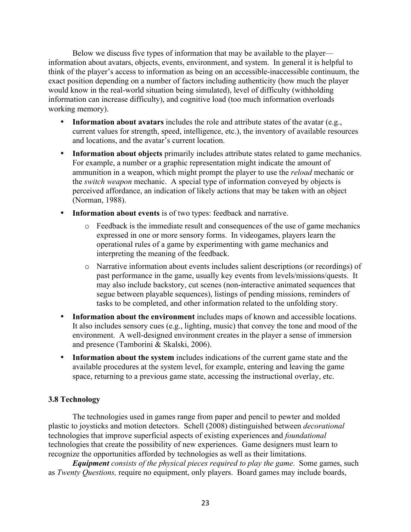Below we discuss five types of information that may be available to the player information about avatars, objects, events, environment, and system. In general it is helpful to think of the player's access to information as being on an accessible-inaccessible continuum, the exact position depending on a number of factors including authenticity (how much the player would know in the real-world situation being simulated), level of difficulty (withholding information can increase difficulty), and cognitive load (too much information overloads working memory).

- **Information about avatars** includes the role and attribute states of the avatar (e.g., current values for strength, speed, intelligence, etc.), the inventory of available resources and locations, and the avatar's current location.
- **Information about objects** primarily includes attribute states related to game mechanics. For example, a number or a graphic representation might indicate the amount of ammunition in a weapon, which might prompt the player to use the *reload* mechanic or the *switch weapon* mechanic. A special type of information conveyed by objects is perceived affordance, an indication of likely actions that may be taken with an object (Norman, 1988).
- **Information about events** is of two types: feedback and narrative.
	- o Feedback is the immediate result and consequences of the use of game mechanics expressed in one or more sensory forms. In videogames, players learn the operational rules of a game by experimenting with game mechanics and interpreting the meaning of the feedback.
	- o Narrative information about events includes salient descriptions (or recordings) of past performance in the game, usually key events from levels/missions/quests. It may also include backstory, cut scenes (non-interactive animated sequences that segue between playable sequences), listings of pending missions, reminders of tasks to be completed, and other information related to the unfolding story.
- **Information about the environment** includes maps of known and accessible locations. It also includes sensory cues (e.g., lighting, music) that convey the tone and mood of the environment. A well-designed environment creates in the player a sense of immersion and presence (Tamborini & Skalski, 2006).
- **Information about the system** includes indications of the current game state and the available procedures at the system level, for example, entering and leaving the game space, returning to a previous game state, accessing the instructional overlay, etc.

## **3.8 Technology**

The technologies used in games range from paper and pencil to pewter and molded plastic to joysticks and motion detectors. Schell (2008) distinguished between *decorational* technologies that improve superficial aspects of existing experiences and *foundational* technologies that create the possibility of new experiences. Game designers must learn to recognize the opportunities afforded by technologies as well as their limitations.

*Equipment consists of the physical pieces required to play the game*. Some games, such as *Twenty Questions,* require no equipment, only players. Board games may include boards,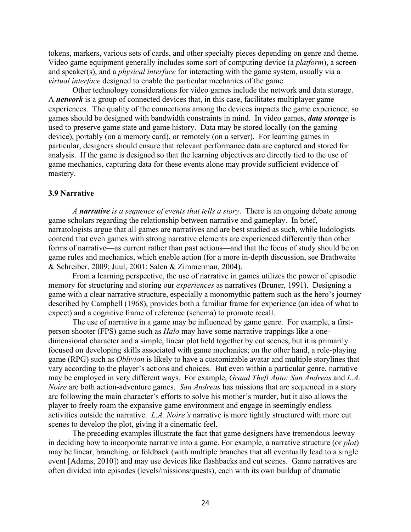tokens, markers, various sets of cards, and other specialty pieces depending on genre and theme. Video game equipment generally includes some sort of computing device (a *platform*), a screen and speaker(s), and a *physical interface* for interacting with the game system, usually via a *virtual interface* designed to enable the particular mechanics of the game.

Other technology considerations for video games include the network and data storage. A *network* is a group of connected devices that, in this case, facilitates multiplayer game experiences. The quality of the connections among the devices impacts the game experience, so games should be designed with bandwidth constraints in mind. In video games, *data storage* is used to preserve game state and game history. Data may be stored locally (on the gaming device), portably (on a memory card), or remotely (on a server). For learning games in particular, designers should ensure that relevant performance data are captured and stored for analysis. If the game is designed so that the learning objectives are directly tied to the use of game mechanics, capturing data for these events alone may provide sufficient evidence of mastery.

#### **3.9 Narrative**

*A narrative is a sequence of events that tells a story*. There is an ongoing debate among game scholars regarding the relationship between narrative and gameplay. In brief, narratologists argue that all games are narratives and are best studied as such, while ludologists contend that even games with strong narrative elements are experienced differently than other forms of narrative—as current rather than past actions—and that the focus of study should be on game rules and mechanics, which enable action (for a more in-depth discussion, see Brathwaite & Schreiber, 2009; Juul, 2001; Salen & Zimmerman, 2004).

From a learning perspective, the use of narrative in games utilizes the power of episodic memory for structuring and storing our *experiences* as narratives (Bruner, 1991). Designing a game with a clear narrative structure, especially a monomythic pattern such as the hero's journey described by Campbell (1968), provides both a familiar frame for experience (an idea of what to expect) and a cognitive frame of reference (schema) to promote recall.

The use of narrative in a game may be influenced by game genre. For example, a firstperson shooter (FPS) game such as *Halo* may have some narrative trappings like a onedimensional character and a simple, linear plot held together by cut scenes, but it is primarily focused on developing skills associated with game mechanics; on the other hand, a role-playing game (RPG) such as *Oblivion* is likely to have a customizable avatar and multiple storylines that vary according to the player's actions and choices. But even within a particular genre, narrative may be employed in very different ways. For example, *Grand Theft Auto: San Andreas* and *L.A. Noire* are both action-adventure games. *San Andreas* has missions that are sequenced in a story arc following the main character's efforts to solve his mother's murder, but it also allows the player to freely roam the expansive game environment and engage in seemingly endless activities outside the narrative. *L.A. Noire's* narrative is more tightly structured with more cut scenes to develop the plot, giving it a cinematic feel.

The preceding examples illustrate the fact that game designers have tremendous leeway in deciding how to incorporate narrative into a game. For example, a narrative structure (or *plot*) may be linear, branching, or foldback (with multiple branches that all eventually lead to a single event [Adams, 2010]) and may use devices like flashbacks and cut scenes. Game narratives are often divided into episodes (levels/missions/quests), each with its own buildup of dramatic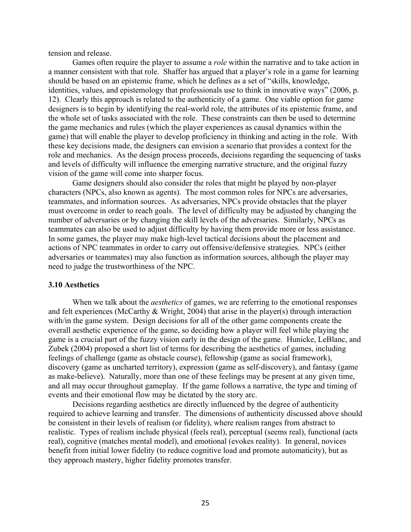tension and release.

Games often require the player to assume a *role* within the narrative and to take action in a manner consistent with that role. Shaffer has argued that a player's role in a game for learning should be based on an epistemic frame, which he defines as a set of "skills, knowledge, identities, values, and epistemology that professionals use to think in innovative ways" (2006, p. 12). Clearly this approach is related to the authenticity of a game. One viable option for game designers is to begin by identifying the real-world role, the attributes of its epistemic frame, and the whole set of tasks associated with the role. These constraints can then be used to determine the game mechanics and rules (which the player experiences as causal dynamics within the game) that will enable the player to develop proficiency in thinking and acting in the role. With these key decisions made, the designers can envision a scenario that provides a context for the role and mechanics. As the design process proceeds, decisions regarding the sequencing of tasks and levels of difficulty will influence the emerging narrative structure, and the original fuzzy vision of the game will come into sharper focus.

Game designers should also consider the roles that might be played by non-player characters (NPCs, also known as agents). The most common roles for NPCs are adversaries, teammates, and information sources. As adversaries, NPCs provide obstacles that the player must overcome in order to reach goals. The level of difficulty may be adjusted by changing the number of adversaries or by changing the skill levels of the adversaries. Similarly, NPCs as teammates can also be used to adjust difficulty by having them provide more or less assistance. In some games, the player may make high-level tactical decisions about the placement and actions of NPC teammates in order to carry out offensive/defensive strategies. NPCs (either adversaries or teammates) may also function as information sources, although the player may need to judge the trustworthiness of the NPC.

#### **3.10 Aesthetics**

When we talk about the *aesthetics* of games, we are referring to the emotional responses and felt experiences (McCarthy & Wright, 2004) that arise in the player(s) through interaction with/in the game system. Design decisions for all of the other game components create the overall aesthetic experience of the game, so deciding how a player will feel while playing the game is a crucial part of the fuzzy vision early in the design of the game. Hunicke, LeBlanc, and Zubek (2004) proposed a short list of terms for describing the aesthetics of games, including feelings of challenge (game as obstacle course), fellowship (game as social framework), discovery (game as uncharted territory), expression (game as self-discovery), and fantasy (game as make-believe). Naturally, more than one of these feelings may be present at any given time, and all may occur throughout gameplay. If the game follows a narrative, the type and timing of events and their emotional flow may be dictated by the story arc.

Decisions regarding aesthetics are directly influenced by the degree of authenticity required to achieve learning and transfer. The dimensions of authenticity discussed above should be consistent in their levels of realism (or fidelity), where realism ranges from abstract to realistic. Types of realism include physical (feels real), perceptual (seems real), functional (acts real), cognitive (matches mental model), and emotional (evokes reality). In general, novices benefit from initial lower fidelity (to reduce cognitive load and promote automaticity), but as they approach mastery, higher fidelity promotes transfer.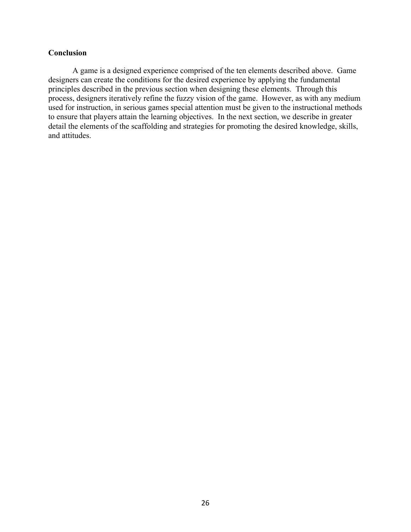### **Conclusion**

A game is a designed experience comprised of the ten elements described above. Game designers can create the conditions for the desired experience by applying the fundamental principles described in the previous section when designing these elements. Through this process, designers iteratively refine the fuzzy vision of the game. However, as with any medium used for instruction, in serious games special attention must be given to the instructional methods to ensure that players attain the learning objectives. In the next section, we describe in greater detail the elements of the scaffolding and strategies for promoting the desired knowledge, skills, and attitudes.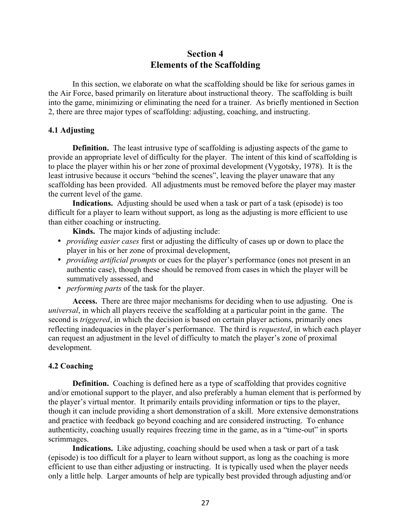## **Section 4 Elements of the Scaffolding**

In this section, we elaborate on what the scaffolding should be like for serious games in the Air Force, based primarily on literature about instructional theory. The scaffolding is built into the game, minimizing or eliminating the need for a trainer. As briefly mentioned in Section 2, there are three major types of scaffolding: adjusting, coaching, and instructing.

#### **4.1 Adjusting**

**Definition.** The least intrusive type of scaffolding is adjusting aspects of the game to provide an appropriate level of difficulty for the player. The intent of this kind of scaffolding is to place the player within his or her zone of proximal development (Vygotsky, 1978). It is the least intrusive because it occurs "behind the scenes", leaving the player unaware that any scaffolding has been provided. All adjustments must be removed before the player may master the current level of the game.

**Indications.** Adjusting should be used when a task or part of a task (episode) is too difficult for a player to learn without support, as long as the adjusting is more efficient to use than either coaching or instructing.

**Kinds.** The major kinds of adjusting include:

- *providing easier cases* first or adjusting the difficulty of cases up or down to place the player in his or her zone of proximal development,
- *providing artificial prompts* or cues for the player's performance (ones not present in an authentic case), though these should be removed from cases in which the player will be summatively assessed, and
- *performing parts* of the task for the player.

**Access.** There are three major mechanisms for deciding when to use adjusting. One is *universal*, in which all players receive the scaffolding at a particular point in the game. The second is *triggered*, in which the decision is based on certain player actions, primarily ones reflecting inadequacies in the player's performance. The third is *requested*, in which each player can request an adjustment in the level of difficulty to match the player's zone of proximal development.

#### **4.2 Coaching**

**Definition.** Coaching is defined here as a type of scaffolding that provides cognitive and/or emotional support to the player, and also preferably a human element that is performed by the player's virtual mentor. It primarily entails providing information or tips to the player, though it can include providing a short demonstration of a skill. More extensive demonstrations and practice with feedback go beyond coaching and are considered instructing. To enhance authenticity, coaching usually requires freezing time in the game, as in a "time-out" in sports scrimmages.

**Indications.** Like adjusting, coaching should be used when a task or part of a task (episode) is too difficult for a player to learn without support, as long as the coaching is more efficient to use than either adjusting or instructing. It is typically used when the player needs only a little help. Larger amounts of help are typically best provided through adjusting and/or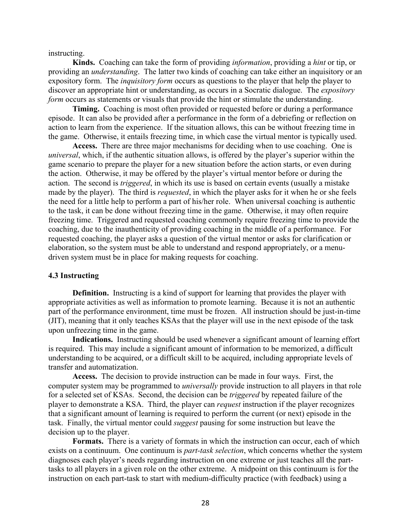instructing.

**Kinds.** Coaching can take the form of providing *information*, providing a *hint* or tip, or providing an *understanding*. The latter two kinds of coaching can take either an inquisitory or an expository form. The *inquisitory form* occurs as questions to the player that help the player to discover an appropriate hint or understanding, as occurs in a Socratic dialogue. The *expository form* occurs as statements or visuals that provide the hint or stimulate the understanding.

**Timing.** Coaching is most often provided or requested before or during a performance episode. It can also be provided after a performance in the form of a debriefing or reflection on action to learn from the experience. If the situation allows, this can be without freezing time in the game. Otherwise, it entails freezing time, in which case the virtual mentor is typically used.

**Access.** There are three major mechanisms for deciding when to use coaching. One is *universal*, which, if the authentic situation allows, is offered by the player's superior within the game scenario to prepare the player for a new situation before the action starts, or even during the action. Otherwise, it may be offered by the player's virtual mentor before or during the action. The second is *triggered*, in which its use is based on certain events (usually a mistake made by the player). The third is *requested*, in which the player asks for it when he or she feels the need for a little help to perform a part of his/her role. When universal coaching is authentic to the task, it can be done without freezing time in the game. Otherwise, it may often require freezing time. Triggered and requested coaching commonly require freezing time to provide the coaching, due to the inauthenticity of providing coaching in the middle of a performance. For requested coaching, the player asks a question of the virtual mentor or asks for clarification or elaboration, so the system must be able to understand and respond appropriately, or a menudriven system must be in place for making requests for coaching.

#### **4.3 Instructing**

**Definition.** Instructing is a kind of support for learning that provides the player with appropriate activities as well as information to promote learning. Because it is not an authentic part of the performance environment, time must be frozen. All instruction should be just-in-time (JIT), meaning that it only teaches KSAs that the player will use in the next episode of the task upon unfreezing time in the game.

**Indications.** Instructing should be used whenever a significant amount of learning effort is required. This may include a significant amount of information to be memorized, a difficult understanding to be acquired, or a difficult skill to be acquired, including appropriate levels of transfer and automatization.

**Access.** The decision to provide instruction can be made in four ways. First, the computer system may be programmed to *universally* provide instruction to all players in that role for a selected set of KSAs. Second, the decision can be *triggered* by repeated failure of the player to demonstrate a KSA. Third, the player can *request* instruction if the player recognizes that a significant amount of learning is required to perform the current (or next) episode in the task. Finally, the virtual mentor could *suggest* pausing for some instruction but leave the decision up to the player.

**Formats.** There is a variety of formats in which the instruction can occur, each of which exists on a continuum. One continuum is *part-task selection*, which concerns whether the system diagnoses each player's needs regarding instruction on one extreme or just teaches all the parttasks to all players in a given role on the other extreme. A midpoint on this continuum is for the instruction on each part-task to start with medium-difficulty practice (with feedback) using a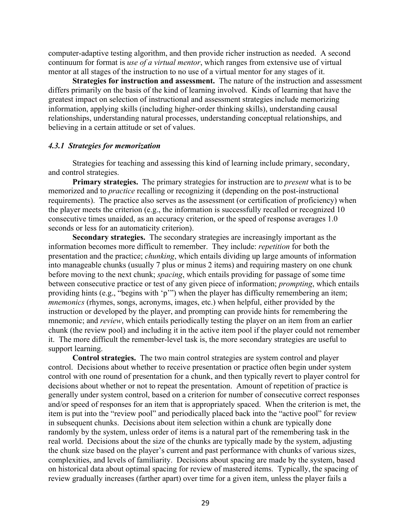computer-adaptive testing algorithm, and then provide richer instruction as needed. A second continuum for format is *use of a virtual mentor*, which ranges from extensive use of virtual mentor at all stages of the instruction to no use of a virtual mentor for any stages of it.

**Strategies for instruction and assessment.** The nature of the instruction and assessment differs primarily on the basis of the kind of learning involved. Kinds of learning that have the greatest impact on selection of instructional and assessment strategies include memorizing information, applying skills (including higher-order thinking skills), understanding causal relationships, understanding natural processes, understanding conceptual relationships, and believing in a certain attitude or set of values.

#### *4.3.1 Strategies for memorization*

Strategies for teaching and assessing this kind of learning include primary, secondary, and control strategies.

**Primary strategies.** The primary strategies for instruction are to *present* what is to be memorized and to *practice* recalling or recognizing it (depending on the post-instructional requirements). The practice also serves as the assessment (or certification of proficiency) when the player meets the criterion (e.g., the information is successfully recalled or recognized 10 consecutive times unaided, as an accuracy criterion, or the speed of response averages 1.0 seconds or less for an automaticity criterion).

**Secondary strategies.** The secondary strategies are increasingly important as the information becomes more difficult to remember. They include: *repetition* for both the presentation and the practice; *chunking*, which entails dividing up large amounts of information into manageable chunks (usually 7 plus or minus 2 items) and requiring mastery on one chunk before moving to the next chunk; *spacing*, which entails providing for passage of some time between consecutive practice or test of any given piece of information; *prompting*, which entails providing hints (e.g., "begins with 'p'") when the player has difficulty remembering an item; *mnemonics* (rhymes, songs, acronyms, images, etc.) when helpful, either provided by the instruction or developed by the player, and prompting can provide hints for remembering the mnemonic; and *review*, which entails periodically testing the player on an item from an earlier chunk (the review pool) and including it in the active item pool if the player could not remember it. The more difficult the remember-level task is, the more secondary strategies are useful to support learning.

**Control strategies.** The two main control strategies are system control and player control. Decisions about whether to receive presentation or practice often begin under system control with one round of presentation for a chunk, and then typically revert to player control for decisions about whether or not to repeat the presentation. Amount of repetition of practice is generally under system control, based on a criterion for number of consecutive correct responses and/or speed of responses for an item that is appropriately spaced. When the criterion is met, the item is put into the "review pool" and periodically placed back into the "active pool" for review in subsequent chunks. Decisions about item selection within a chunk are typically done randomly by the system, unless order of items is a natural part of the remembering task in the real world. Decisions about the size of the chunks are typically made by the system, adjusting the chunk size based on the player's current and past performance with chunks of various sizes, complexities, and levels of familiarity. Decisions about spacing are made by the system, based on historical data about optimal spacing for review of mastered items. Typically, the spacing of review gradually increases (farther apart) over time for a given item, unless the player fails a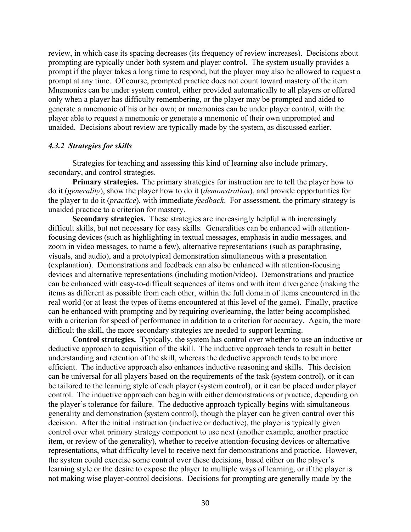review, in which case its spacing decreases (its frequency of review increases). Decisions about prompting are typically under both system and player control. The system usually provides a prompt if the player takes a long time to respond, but the player may also be allowed to request a prompt at any time. Of course, prompted practice does not count toward mastery of the item. Mnemonics can be under system control, either provided automatically to all players or offered only when a player has difficulty remembering, or the player may be prompted and aided to generate a mnemonic of his or her own; or mnemonics can be under player control, with the player able to request a mnemonic or generate a mnemonic of their own unprompted and unaided. Decisions about review are typically made by the system, as discussed earlier.

#### *4.3.2 Strategies for skills*

Strategies for teaching and assessing this kind of learning also include primary, secondary, and control strategies.

**Primary strategies.** The primary strategies for instruction are to tell the player how to do it (*generality*), show the player how to do it (*demonstration*), and provide opportunities for the player to do it (*practice*), with immediate *feedback*. For assessment, the primary strategy is unaided practice to a criterion for mastery.

**Secondary strategies.** These strategies are increasingly helpful with increasingly difficult skills, but not necessary for easy skills. Generalities can be enhanced with attentionfocusing devices (such as highlighting in textual messages, emphasis in audio messages, and zoom in video messages, to name a few), alternative representations (such as paraphrasing, visuals, and audio), and a prototypical demonstration simultaneous with a presentation (explanation). Demonstrations and feedback can also be enhanced with attention-focusing devices and alternative representations (including motion/video). Demonstrations and practice can be enhanced with easy-to-difficult sequences of items and with item divergence (making the items as different as possible from each other, within the full domain of items encountered in the real world (or at least the types of items encountered at this level of the game). Finally, practice can be enhanced with prompting and by requiring overlearning, the latter being accomplished with a criterion for speed of performance in addition to a criterion for accuracy. Again, the more difficult the skill, the more secondary strategies are needed to support learning.

**Control strategies.** Typically, the system has control over whether to use an inductive or deductive approach to acquisition of the skill. The inductive approach tends to result in better understanding and retention of the skill, whereas the deductive approach tends to be more efficient. The inductive approach also enhances inductive reasoning and skills. This decision can be universal for all players based on the requirements of the task (system control), or it can be tailored to the learning style of each player (system control), or it can be placed under player control. The inductive approach can begin with either demonstrations or practice, depending on the player's tolerance for failure. The deductive approach typically begins with simultaneous generality and demonstration (system control), though the player can be given control over this decision. After the initial instruction (inductive or deductive), the player is typically given control over what primary strategy component to use next (another example, another practice item, or review of the generality), whether to receive attention-focusing devices or alternative representations, what difficulty level to receive next for demonstrations and practice. However, the system could exercise some control over these decisions, based either on the player's learning style or the desire to expose the player to multiple ways of learning, or if the player is not making wise player-control decisions. Decisions for prompting are generally made by the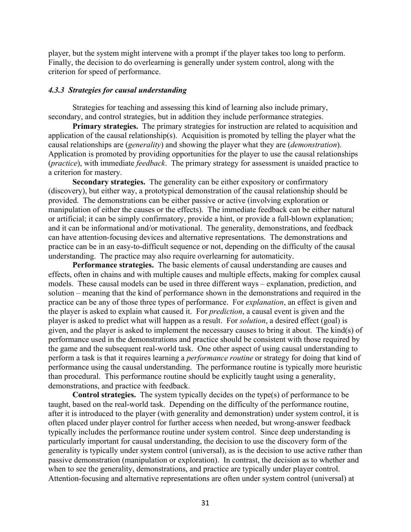player, but the system might intervene with a prompt if the player takes too long to perform. Finally, the decision to do overlearning is generally under system control, along with the criterion for speed of performance.

#### *4.3.3 Strategies for causal understanding*

Strategies for teaching and assessing this kind of learning also include primary, secondary, and control strategies, but in addition they include performance strategies.

**Primary strategies.** The primary strategies for instruction are related to acquisition and application of the causal relationship(s). Acquisition is promoted by telling the player what the causal relationships are (*generality*) and showing the player what they are (*demonstration*). Application is promoted by providing opportunities for the player to use the causal relationships (*practice*), with immediate *feedback*. The primary strategy for assessment is unaided practice to a criterion for mastery.

**Secondary strategies.** The generality can be either expository or confirmatory (discovery), but either way, a prototypical demonstration of the causal relationship should be provided. The demonstrations can be either passive or active (involving exploration or manipulation of either the causes or the effects). The immediate feedback can be either natural or artificial; it can be simply confirmatory, provide a hint, or provide a full-blown explanation; and it can be informational and/or motivational. The generality, demonstrations, and feedback can have attention-focusing devices and alternative representations. The demonstrations and practice can be in an easy-to-difficult sequence or not, depending on the difficulty of the causal understanding. The practice may also require overlearning for automaticity.

**Performance strategies.** The basic elements of causal understanding are causes and effects, often in chains and with multiple causes and multiple effects, making for complex causal models. These causal models can be used in three different ways – explanation, prediction, and solution – meaning that the kind of performance shown in the demonstrations and required in the practice can be any of those three types of performance. For *explanation*, an effect is given and the player is asked to explain what caused it. For *prediction*, a causal event is given and the player is asked to predict what will happen as a result. For *solution*, a desired effect (goal) is given, and the player is asked to implement the necessary causes to bring it about. The kind(s) of performance used in the demonstrations and practice should be consistent with those required by the game and the subsequent real-world task. One other aspect of using causal understanding to perform a task is that it requires learning a *performance routine* or strategy for doing that kind of performance using the causal understanding. The performance routine is typically more heuristic than procedural. This performance routine should be explicitly taught using a generality, demonstrations, and practice with feedback.

**Control strategies.** The system typically decides on the type(s) of performance to be taught, based on the real-world task. Depending on the difficulty of the performance routine, after it is introduced to the player (with generality and demonstration) under system control, it is often placed under player control for further access when needed, but wrong-answer feedback typically includes the performance routine under system control. Since deep understanding is particularly important for causal understanding, the decision to use the discovery form of the generality is typically under system control (universal), as is the decision to use active rather than passive demonstration (manipulation or exploration). In contrast, the decision as to whether and when to see the generality, demonstrations, and practice are typically under player control. Attention-focusing and alternative representations are often under system control (universal) at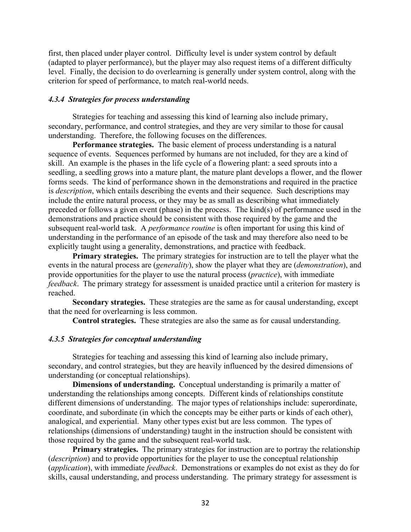first, then placed under player control. Difficulty level is under system control by default (adapted to player performance), but the player may also request items of a different difficulty level. Finally, the decision to do overlearning is generally under system control, along with the criterion for speed of performance, to match real-world needs.

#### *4.3.4 Strategies for process understanding*

Strategies for teaching and assessing this kind of learning also include primary, secondary, performance, and control strategies, and they are very similar to those for causal understanding. Therefore, the following focuses on the differences.

**Performance strategies.** The basic element of process understanding is a natural sequence of events. Sequences performed by humans are not included, for they are a kind of skill. An example is the phases in the life cycle of a flowering plant: a seed sprouts into a seedling, a seedling grows into a mature plant, the mature plant develops a flower, and the flower forms seeds. The kind of performance shown in the demonstrations and required in the practice is *description*, which entails describing the events and their sequence. Such descriptions may include the entire natural process, or they may be as small as describing what immediately preceded or follows a given event (phase) in the process. The kind(s) of performance used in the demonstrations and practice should be consistent with those required by the game and the subsequent real-world task. A *performance routine* is often important for using this kind of understanding in the performance of an episode of the task and may therefore also need to be explicitly taught using a generality, demonstrations, and practice with feedback.

**Primary strategies.** The primary strategies for instruction are to tell the player what the events in the natural process are (*generality*), show the player what they are (*demonstration*), and provide opportunities for the player to use the natural process (*practice*), with immediate *feedback*. The primary strategy for assessment is unaided practice until a criterion for mastery is reached.

**Secondary strategies.** These strategies are the same as for causal understanding, except that the need for overlearning is less common.

**Control strategies.** These strategies are also the same as for causal understanding.

## *4.3.5 Strategies for conceptual understanding*

Strategies for teaching and assessing this kind of learning also include primary, secondary, and control strategies, but they are heavily influenced by the desired dimensions of understanding (or conceptual relationships).

**Dimensions of understanding.** Conceptual understanding is primarily a matter of understanding the relationships among concepts. Different kinds of relationships constitute different dimensions of understanding. The major types of relationships include: superordinate, coordinate, and subordinate (in which the concepts may be either parts or kinds of each other), analogical, and experiential. Many other types exist but are less common. The types of relationships (dimensions of understanding) taught in the instruction should be consistent with those required by the game and the subsequent real-world task.

**Primary strategies.** The primary strategies for instruction are to portray the relationship (*description*) and to provide opportunities for the player to use the conceptual relationship (*application*), with immediate *feedback*. Demonstrations or examples do not exist as they do for skills, causal understanding, and process understanding. The primary strategy for assessment is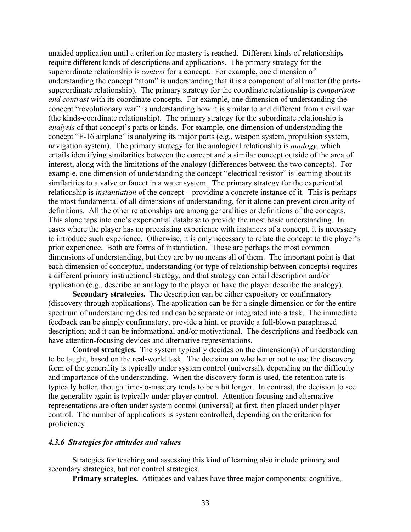unaided application until a criterion for mastery is reached. Different kinds of relationships require different kinds of descriptions and applications. The primary strategy for the superordinate relationship is *context* for a concept. For example, one dimension of understanding the concept "atom" is understanding that it is a component of all matter (the partssuperordinate relationship). The primary strategy for the coordinate relationship is *comparison and contrast* with its coordinate concepts. For example, one dimension of understanding the concept "revolutionary war" is understanding how it is similar to and different from a civil war (the kinds-coordinate relationship). The primary strategy for the subordinate relationship is *analysis* of that concept's parts or kinds. For example, one dimension of understanding the concept "F-16 airplane" is analyzing its major parts (e.g., weapon system, propulsion system, navigation system). The primary strategy for the analogical relationship is *analogy*, which entails identifying similarities between the concept and a similar concept outside of the area of interest, along with the limitations of the analogy (differences between the two concepts). For example, one dimension of understanding the concept "electrical resistor" is learning about its similarities to a valve or faucet in a water system. The primary strategy for the experiential relationship is *instantiation* of the concept – providing a concrete instance of it. This is perhaps the most fundamental of all dimensions of understanding, for it alone can prevent circularity of definitions. All the other relationships are among generalities or definitions of the concepts. This alone taps into one's experiential database to provide the most basic understanding. In cases where the player has no preexisting experience with instances of a concept, it is necessary to introduce such experience. Otherwise, it is only necessary to relate the concept to the player's prior experience. Both are forms of instantiation. These are perhaps the most common dimensions of understanding, but they are by no means all of them. The important point is that each dimension of conceptual understanding (or type of relationship between concepts) requires a different primary instructional strategy, and that strategy can entail description and/or application (e.g., describe an analogy to the player or have the player describe the analogy).

**Secondary strategies.** The description can be either expository or confirmatory (discovery through applications). The application can be for a single dimension or for the entire spectrum of understanding desired and can be separate or integrated into a task. The immediate feedback can be simply confirmatory, provide a hint, or provide a full-blown paraphrased description; and it can be informational and/or motivational. The descriptions and feedback can have attention-focusing devices and alternative representations.

**Control strategies.** The system typically decides on the dimension(s) of understanding to be taught, based on the real-world task. The decision on whether or not to use the discovery form of the generality is typically under system control (universal), depending on the difficulty and importance of the understanding. When the discovery form is used, the retention rate is typically better, though time-to-mastery tends to be a bit longer. In contrast, the decision to see the generality again is typically under player control. Attention-focusing and alternative representations are often under system control (universal) at first, then placed under player control. The number of applications is system controlled, depending on the criterion for proficiency.

#### *4.3.6 Strategies for attitudes and values*

Strategies for teaching and assessing this kind of learning also include primary and secondary strategies, but not control strategies.

**Primary strategies.** Attitudes and values have three major components: cognitive,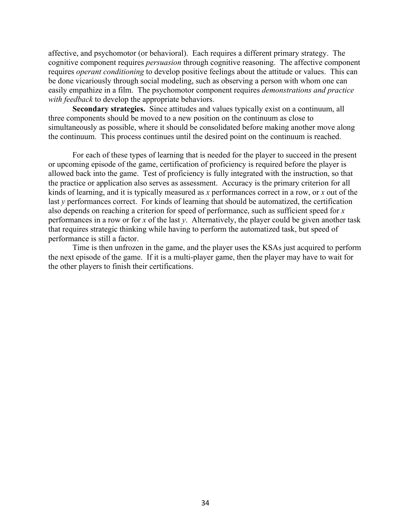affective, and psychomotor (or behavioral). Each requires a different primary strategy. The cognitive component requires *persuasion* through cognitive reasoning. The affective component requires *operant conditioning* to develop positive feelings about the attitude or values. This can be done vicariously through social modeling, such as observing a person with whom one can easily empathize in a film. The psychomotor component requires *demonstrations and practice with feedback* to develop the appropriate behaviors.

**Secondary strategies.** Since attitudes and values typically exist on a continuum, all three components should be moved to a new position on the continuum as close to simultaneously as possible, where it should be consolidated before making another move along the continuum. This process continues until the desired point on the continuum is reached.

For each of these types of learning that is needed for the player to succeed in the present or upcoming episode of the game, certification of proficiency is required before the player is allowed back into the game. Test of proficiency is fully integrated with the instruction, so that the practice or application also serves as assessment. Accuracy is the primary criterion for all kinds of learning, and it is typically measured as *x* performances correct in a row, or *x* out of the last *y* performances correct. For kinds of learning that should be automatized, the certification also depends on reaching a criterion for speed of performance, such as sufficient speed for *x* performances in a row or for *x* of the last *y*. Alternatively, the player could be given another task that requires strategic thinking while having to perform the automatized task, but speed of performance is still a factor.

Time is then unfrozen in the game, and the player uses the KSAs just acquired to perform the next episode of the game. If it is a multi-player game, then the player may have to wait for the other players to finish their certifications.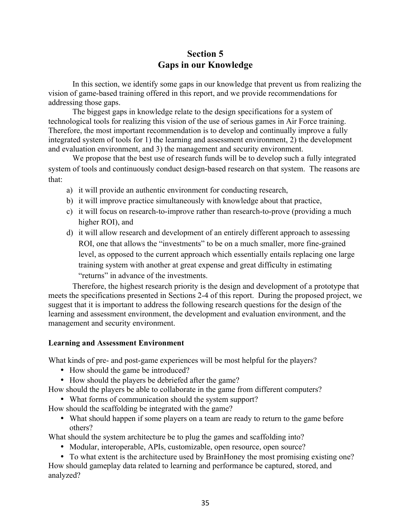## **Section 5 Gaps in our Knowledge**

In this section, we identify some gaps in our knowledge that prevent us from realizing the vision of game-based training offered in this report, and we provide recommendations for addressing those gaps.

The biggest gaps in knowledge relate to the design specifications for a system of technological tools for realizing this vision of the use of serious games in Air Force training. Therefore, the most important recommendation is to develop and continually improve a fully integrated system of tools for 1) the learning and assessment environment, 2) the development and evaluation environment, and 3) the management and security environment.

We propose that the best use of research funds will be to develop such a fully integrated system of tools and continuously conduct design-based research on that system. The reasons are that:

- a) it will provide an authentic environment for conducting research,
- b) it will improve practice simultaneously with knowledge about that practice,
- c) it will focus on research-to-improve rather than research-to-prove (providing a much higher ROI), and
- d) it will allow research and development of an entirely different approach to assessing ROI, one that allows the "investments" to be on a much smaller, more fine-grained level, as opposed to the current approach which essentially entails replacing one large training system with another at great expense and great difficulty in estimating "returns" in advance of the investments.

Therefore, the highest research priority is the design and development of a prototype that meets the specifications presented in Sections 2-4 of this report. During the proposed project, we suggest that it is important to address the following research questions for the design of the learning and assessment environment, the development and evaluation environment, and the management and security environment.

#### **Learning and Assessment Environment**

What kinds of pre- and post-game experiences will be most helpful for the players?

- How should the game be introduced?
- How should the players be debriefed after the game?

How should the players be able to collaborate in the game from different computers?

• What forms of communication should the system support?

How should the scaffolding be integrated with the game?

• What should happen if some players on a team are ready to return to the game before others?

What should the system architecture be to plug the games and scaffolding into?

• Modular, interoperable, APIs, customizable, open resource, open source?

• To what extent is the architecture used by BrainHoney the most promising existing one? How should gameplay data related to learning and performance be captured, stored, and analyzed?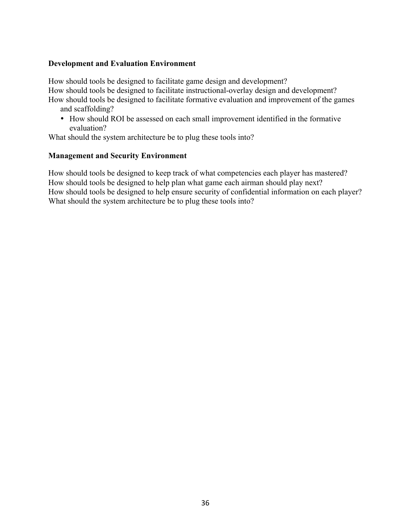### **Development and Evaluation Environment**

How should tools be designed to facilitate game design and development? How should tools be designed to facilitate instructional-overlay design and development? How should tools be designed to facilitate formative evaluation and improvement of the games

and scaffolding?

• How should ROI be assessed on each small improvement identified in the formative evaluation?

What should the system architecture be to plug these tools into?

#### **Management and Security Environment**

How should tools be designed to keep track of what competencies each player has mastered? How should tools be designed to help plan what game each airman should play next? How should tools be designed to help ensure security of confidential information on each player? What should the system architecture be to plug these tools into?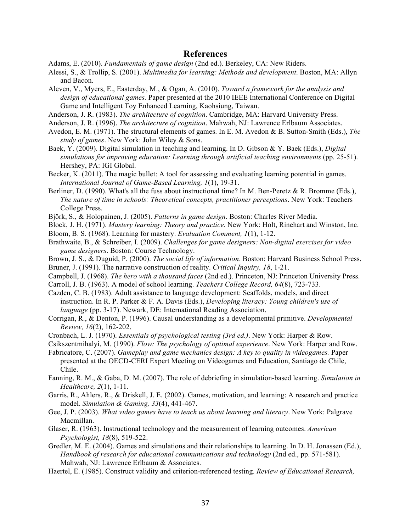#### **References**

Adams, E. (2010). *Fundamentals of game design* (2nd ed.). Berkeley, CA: New Riders.

- Alessi, S., & Trollip, S. (2001). *Multimedia for learning: Methods and development*. Boston, MA: Allyn and Bacon.
- Aleven, V., Myers, E., Easterday, M., & Ogan, A. (2010). *Toward a framework for the analysis and design of educational games.* Paper presented at the 2010 IEEE International Conference on Digital Game and Intelligent Toy Enhanced Learning, Kaohsiung, Taiwan.
- Anderson, J. R. (1983). *The architecture of cognition*. Cambridge, MA: Harvard University Press.
- Anderson, J. R. (1996). *The architecture of cognition*. Mahwah, NJ: Lawrence Erlbaum Associates.
- Avedon, E. M. (1971). The structural elements of games. In E. M. Avedon & B. Sutton-Smith (Eds.), *The study of games*. New York: John Wiley & Sons.
- Baek, Y. (2009). Digital simulation in teaching and learning. In D. Gibson & Y. Baek (Eds.), *Digital simulations for improving education: Learning through artificial teaching environments* (pp. 25-51). Hershey, PA: IGI Global.
- Becker, K. (2011). The magic bullet: A tool for assessing and evaluating learning potential in games. *International Journal of Game-Based Learning, 1*(1), 19-31.
- Berliner, D. (1990). What's all the fuss about instructional time? In M. Ben-Peretz & R. Bromme (Eds.), *The nature of time in schools: Theoretical concepts, practitioner perceptions*. New York: Teachers College Press.
- Björk, S., & Holopainen, J. (2005). *Patterns in game design*. Boston: Charles River Media.
- Block, J. H. (1971). *Mastery learning: Theory and practice*. New York: Holt, Rinehart and Winston, Inc.
- Bloom, B. S. (1968). Learning for mastery. *Evaluation Comment, 1*(1), 1-12.
- Brathwaite, B., & Schreiber, I. (2009). *Challenges for game designers: Non-digital exercises for video game designers*. Boston: Course Technology.
- Brown, J. S., & Duguid, P. (2000). *The social life of information*. Boston: Harvard Business School Press.
- Bruner, J. (1991). The narrative construction of reality. *Critical Inquiry, 18*, 1-21.
- Campbell, J. (1968). *The hero with a thousand faces* (2nd ed.). Princeton, NJ: Princeton University Press.
- Carroll, J. B. (1963). A model of school learning. *Teachers College Record, 64*(8), 723-733.
- Cazden, C. B. (1983). Adult assistance to language development: Scaffolds, models, and direct instruction. In R. P. Parker & F. A. Davis (Eds.), *Developing literacy: Young children's use of language* (pp. 3-17). Newark, DE: International Reading Association.
- Corrigan, R., & Denton, P. (1996). Causal understanding as a developmental primitive. *Developmental Review, 16*(2), 162-202.
- Cronbach, L. J. (1970). *Essentials of psychological testing (3rd ed.)*. New York: Harper & Row.
- Csikszentmihalyi, M. (1990). *Flow: The psychology of optimal experience*. New York: Harper and Row.
- Fabricatore, C. (2007). *Gameplay and game mechanics design: A key to quality in videogames.* Paper presented at the OECD-CERI Expert Meeting on Videogames and Education, Santiago de Chile, Chile.
- Fanning, R. M., & Gaba, D. M. (2007). The role of debriefing in simulation-based learning. *Simulation in Healthcare, 2*(1), 1-11.
- Garris, R., Ahlers, R., & Driskell, J. E. (2002). Games, motivation, and learning: A research and practice model. *Simulation & Gaming, 33*(4), 441-467.
- Gee, J. P. (2003). *What video games have to teach us about learning and literacy*. New York: Palgrave Macmillan.
- Glaser, R. (1963). Instructional technology and the measurement of learning outcomes. *American Psychologist, 18*(8), 519-522.
- Gredler, M. E. (2004). Games and simulations and their relationships to learning. In D. H. Jonassen (Ed.), *Handbook of research for educational communications and technology* (2nd ed., pp. 571-581). Mahwah, NJ: Lawrence Erlbaum & Associates.
- Haertel, E. (1985). Construct validity and criterion-referenced testing. *Review of Educational Research,*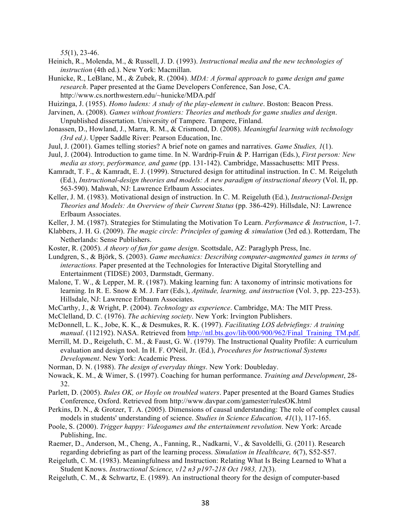*55*(1), 23-46.

- Heinich, R., Molenda, M., & Russell, J. D. (1993). *Instructional media and the new technologies of instruction* (4th ed.). New York: Macmillan.
- Hunicke, R., LeBlanc, M., & Zubek, R. (2004). *MDA: A formal approach to game design and game research*. Paper presented at the Game Developers Conference, San Jose, CA. http://www.cs.northwestern.edu/~hunicke/MDA.pdf

Huizinga, J. (1955). *Homo ludens: A study of the play-element in culture*. Boston: Beacon Press.

- Jarvinen, A. (2008). *Games without frontiers: Theories and methods for game studies and design*. Unpublished dissertation. University of Tampere. Tampere, Finland.
- Jonassen, D., Howland, J., Marra, R. M., & Crismond, D. (2008). *Meaningful learning with technology (3rd ed.)*. Upper Saddle River: Pearson Education, Inc.
- Juul, J. (2001). Games telling stories? A brief note on games and narratives. *Game Studies, 1*(1).
- Juul, J. (2004). Introduction to game time. In N. Wardrip-Fruin & P. Harrigan (Eds.), *First person: New media as story, performance, and game* (pp. 131-142). Cambridge, Massachusetts: MIT Press.
- Kamradt, T. F., & Kamradt, E. J. (1999). Structured design for attitudinal instruction. In C. M. Reigeluth (Ed.), *Instructional-design theories and models: A new paradigm of instructional theory* (Vol. II, pp. 563-590). Mahwah, NJ: Lawrence Erlbaum Associates.
- Keller, J. M. (1983). Motivational design of instruction. In C. M. Reigeluth (Ed.), *Instructional-Design Theories and Models: An Overview of their Current Status* (pp. 386-429). Hillsdale, NJ: Lawrence Erlbaum Associates.
- Keller, J. M. (1987). Strategies for Stimulating the Motivation To Learn. *Performance & Instruction*, 1-7.
- Klabbers, J. H. G. (2009). *The magic circle: Principles of gaming & simulation* (3rd ed.). Rotterdam, The Netherlands: Sense Publishers.
- Koster, R. (2005). *A theory of fun for game design*. Scottsdale, AZ: Paraglyph Press, Inc.
- Lundgren, S., & Björk, S. (2003). *Game mechanics: Describing computer-augmented games in terms of interactions.* Paper presented at the Technologies for Interactive Digital Storytelling and Entertainment (TIDSE) 2003, Darmstadt, Germany.
- Malone, T. W., & Lepper, M. R. (1987). Making learning fun: A taxonomy of intrinsic motivations for learning. In R. E. Snow & M. J. Farr (Eds.), *Aptitude, learning, and instruction* (Vol. 3, pp. 223-253). Hillsdale, NJ: Lawrence Erlbaum Associates.
- McCarthy, J., & Wright, P. (2004). *Technology as experience*. Cambridge, MA: The MIT Press.
- McClelland, D. C. (1976). *The achieving society*. New York: Irvington Publishers.
- McDonnell, L. K., Jobe, K. K., & Desmukes, R. K. (1997). *Facilitating LOS debriefings: A training manual*. (112192). NASA. Retrieved from http://ntl.bts.gov/lib/000/900/962/Final\_Training\_TM.pdf.
- Merrill, M. D., Reigeluth, C. M., & Faust, G. W. (1979). The Instructional Quality Profile: A curriculum evaluation and design tool. In H. F. O'Neil, Jr. (Ed.), *Procedures for Instructional Systems Development*. New York: Academic Press.
- Norman, D. N. (1988). *The design of everyday things*. New York: Doubleday.
- Nowack, K. M., & Wimer, S. (1997). Coaching for human performance. *Training and Development*, 28- 32.
- Parlett, D. (2005). *Rules OK, or Hoyle on troubled waters*. Paper presented at the Board Games Studies Conference, Oxford. Retrieved from http://www.davpar.com/gamester/rulesOK.html
- Perkins, D. N., & Grotzer, T. A. (2005). Dimensions of causal understanding: The role of complex causal models in students' understanding of science. *Studies in Science Education, 41*(1), 117-165.
- Poole, S. (2000). *Trigger happy: Videogames and the entertainment revolution*. New York: Arcade Publishing, Inc.
- Raemer, D., Anderson, M., Cheng, A., Fanning, R., Nadkarni, V., & Savoldelli, G. (2011). Research regarding debriefing as part of the learning process. *Simulation in Healthcare, 6*(7), S52-S57.
- Reigeluth, C. M. (1983). Meaningfulness and Instruction: Relating What Is Being Learned to What a Student Knows. *Instructional Science, v12 n3 p197-218 Oct 1983, 12*(3).
- Reigeluth, C. M., & Schwartz, E. (1989). An instructional theory for the design of computer-based